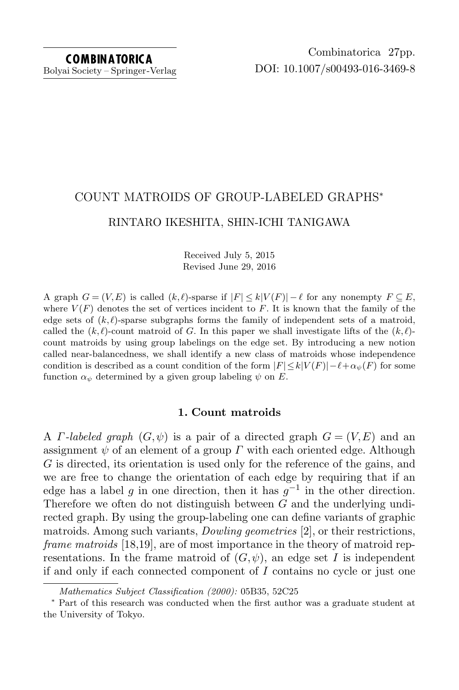# COUNT MATROIDS OF GROUP-LABELED GRAPHS<sup>∗</sup> RINTARO IKESHITA, SHIN-ICHI TANIGAWA

Received July 5, 2015 Revised June 29, 2016

A graph  $G = (V, E)$  is called  $(k, \ell)$ -sparse if  $|F| \le k|V(F)| - \ell$  for any nonempty  $F \subseteq E$ , where  $V(F)$  denotes the set of vertices incident to F. It is known that the family of the edge sets of  $(k, \ell)$ -sparse subgraphs forms the family of independent sets of a matroid, called the  $(k, \ell)$ -count matroid of G. In this paper we shall investigate lifts of the  $(k, \ell)$ count matroids by using group labelings on the edge set. By introducing a new notion called near-balancedness, we shall identify a new class of matroids whose independence condition is described as a count condition of the form  $|F| \leq k|V(F)|-\ell+\alpha_{\psi}(F)$  for some function  $\alpha_{\psi}$  determined by a given group labeling  $\psi$  on E.

# 1. Count matroids

A *Γ*-labeled graph  $(G, \psi)$  is a pair of a directed graph  $G = (V, E)$  and an assignment  $\psi$  of an element of a group  $\Gamma$  with each oriented edge. Although G is directed, its orientation is used only for the reference of the gains, and we are free to change the orientation of each edge by requiring that if an edge has a label g in one direction, then it has  $g^{-1}$  in the other direction. Therefore we often do not distinguish between G and the underlying undirected graph. By using the group-labeling one can define variants of graphic matroids. Among such variants, Dowling geometries [\[2\]](#page-25-0), or their restrictions, frame matroids [\[18,](#page-25-1)[19\]](#page-25-2), are of most importance in the theory of matroid representations. In the frame matroid of  $(G, \psi)$ , an edge set I is independent if and only if each connected component of  $I$  contains no cycle or just one

Mathematics Subject Classification (2000): 05B35, 52C25

<sup>∗</sup> Part of this research was conducted when the first author was a graduate student at the University of Tokyo.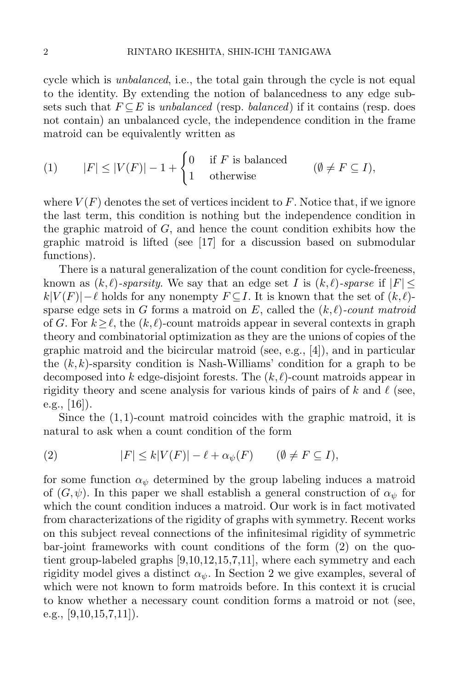cycle which is unbalanced, i.e., the total gain through the cycle is not equal to the identity. By extending the notion of balancedness to any edge subsets such that  $F \subseteq E$  is unbalanced (resp. balanced) if it contains (resp. does not contain) an unbalanced cycle, the independence condition in the frame matroid can be equivalently written as

(1) 
$$
|F| \le |V(F)| - 1 + \begin{cases} 0 & \text{if } F \text{ is balanced} \\ 1 & \text{otherwise} \end{cases} \qquad (\emptyset \ne F \subseteq I),
$$

where  $V(F)$  denotes the set of vertices incident to F. Notice that, if we ignore the last term, this condition is nothing but the independence condition in the graphic matroid of  $G$ , and hence the count condition exhibits how the graphic matroid is lifted (see [\[17\]](#page-25-3) for a discussion based on submodular functions).

There is a natural generalization of the count condition for cycle-freeness, known as  $(k, \ell)$ -sparsity. We say that an edge set I is  $(k, \ell)$ -sparse if  $|F|$  <  $k|V(F)|-\ell$  holds for any nonempty  $F \subseteq I$ . It is known that the set of  $(k, \ell)-1$ sparse edge sets in G forms a matroid on E, called the  $(k, \ell)$ -count matroid of G. For  $k \ge \ell$ , the  $(k, \ell)$ -count matroids appear in several contexts in graph theory and combinatorial optimization as they are the unions of copies of the graphic matroid and the bicircular matroid (see, e.g., [\[4\]](#page-25-4)), and in particular the  $(k, k)$ -sparsity condition is Nash-Williams' condition for a graph to be decomposed into k edge-disjoint forests. The  $(k, \ell)$ -count matroids appear in rigidity theory and scene analysis for various kinds of pairs of k and  $\ell$  (see, e.g., [\[16\]](#page-25-5)).

Since the  $(1,1)$ -count matroid coincides with the graphic matroid, it is natural to ask when a count condition of the form

<span id="page-1-0"></span>(2) 
$$
|F| \le k|V(F)| - \ell + \alpha_{\psi}(F) \qquad (\emptyset \ne F \subseteq I),
$$

for some function  $\alpha_{\psi}$  determined by the group labeling induces a matroid of  $(G, \psi)$ . In this paper we shall establish a general construction of  $\alpha_{\psi}$  for which the count condition induces a matroid. Our work is in fact motivated from characterizations of the rigidity of graphs with symmetry. Recent works on this subject reveal connections of the infinitesimal rigidity of symmetric bar-joint frameworks with count conditions of the form [\(2\)](#page-1-0) on the quotient group-labeled graphs [\[9,](#page-25-6)[10,](#page-25-7)[12,](#page-25-8)[15,](#page-25-9)[7,](#page-25-10)[11\]](#page-25-11), where each symmetry and each rigidity model gives a distinct  $\alpha_{\psi}$ . In Section 2 we give examples, several of which were not known to form matroids before. In this context it is crucial to know whether a necessary count condition forms a matroid or not (see, e.g.,  $[9,10,15,7,11]$  $[9,10,15,7,11]$  $[9,10,15,7,11]$  $[9,10,15,7,11]$  $[9,10,15,7,11]$ .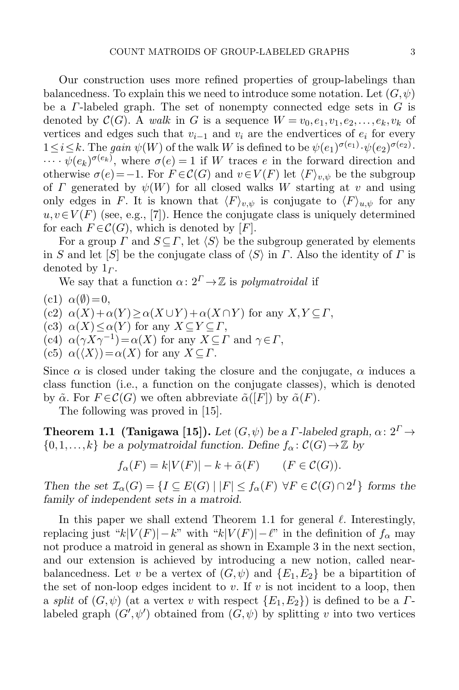Our construction uses more refined properties of group-labelings than balancedness. To explain this we need to introduce some notation. Let  $(G, \psi)$ be a  $\Gamma$ -labeled graph. The set of nonempty connected edge sets in  $G$  is denoted by  $\mathcal{C}(G)$ . A walk in G is a sequence  $W = v_0, e_1, v_1, e_2, \ldots, e_k, v_k$  of vertices and edges such that  $v_{i-1}$  and  $v_i$  are the endvertices of  $e_i$  for every  $1 \leq i \leq k$ . The gain  $\psi(W)$  of the walk W is defined to be  $\psi(e_1)^{\sigma(e_1)} \cdot \psi(e_2)^{\sigma(e_2)}$ .

 $\cdots \psi(e_k)^{\sigma(e_k)}$ , where  $\sigma(e) = 1$  if W traces e in the forward direction and otherwise  $\sigma(e) = -1$ . For  $F \in \mathcal{C}(G)$  and  $v \in V(F)$  let  $\langle F \rangle_{v,w}$  be the subgroup of  $\Gamma$  generated by  $\psi(W)$  for all closed walks W starting at v and using only edges in F. It is known that  $\langle F \rangle_{v,\psi}$  is conjugate to  $\langle F \rangle_{u,\psi}$  for any  $u, v \in V(F)$  (see, e.g., [\[7\]](#page-25-10)). Hence the conjugate class is uniquely determined for each  $F \in \mathcal{C}(G)$ , which is denoted by [F].

For a group  $\Gamma$  and  $S \subseteq \Gamma$ , let  $\langle S \rangle$  be the subgroup generated by elements in S and let  $[S]$  be the conjugate class of  $\langle S \rangle$  in Γ. Also the identity of Γ is denoted by  $1<sub>\Gamma</sub>$ .

We say that a function  $\alpha: 2^{\Gamma} \rightarrow \mathbb{Z}$  is polymatroidal if

- $(c1) \alpha(\emptyset) = 0,$
- (c2)  $\alpha(X) + \alpha(Y) \geq \alpha(X \cup Y) + \alpha(X \cap Y)$  for any  $X, Y \subseteq \Gamma$ ,

(c3)  $\alpha(X) \leq \alpha(Y)$  for any  $X \subseteq Y \subseteq \Gamma$ ,

- $(c4)$   $\alpha(\gamma X \gamma^{-1}) = \alpha(X)$  for any  $X \subseteq \Gamma$  and  $\gamma \in \Gamma$ ,
- (c5)  $\alpha(\langle X \rangle) = \alpha(X)$  for any  $X \subseteq \Gamma$ .

Since  $\alpha$  is closed under taking the closure and the conjugate,  $\alpha$  induces a class function (i.e., a function on the conjugate classes), which is denoted by  $\tilde{\alpha}$ . For  $F \in \mathcal{C}(G)$  we often abbreviate  $\tilde{\alpha}([F])$  by  $\tilde{\alpha}(F)$ .

The following was proved in [\[15\]](#page-25-9).

<span id="page-2-0"></span>**Theorem 1.1 (Tanigawa [\[15\]](#page-25-9)).** Let  $(G, \psi)$  be a *Γ*-labeled graph,  $\alpha: 2^{\Gamma} \rightarrow$  $\{0,1,\ldots,k\}$  be a polymatroidal function. Define  $f_{\alpha} : \mathcal{C}(G) \rightarrow \mathbb{Z}$  by

$$
f_{\alpha}(F) = k|V(F)| - k + \tilde{\alpha}(F) \qquad (F \in \mathcal{C}(G)).
$$

Then the set  $\mathcal{I}_{\alpha}(G) = \{I \subseteq E(G) \mid |F| \leq f_{\alpha}(F) \ \forall F \in C(G) \cap 2^{I}\}\)$  forms the family of independent sets in a matroid.

In this paper we shall extend Theorem [1.1](#page-2-0) for general  $\ell$ . Interestingly, replacing just "k|V(F)|−k" with "k|V(F)|−l" in the definition of  $f_\alpha$  may not produce a matroid in general as shown in Example 3 in the next section, and our extension is achieved by introducing a new notion, called nearbalancedness. Let v be a vertex of  $(G, \psi)$  and  $\{E_1, E_2\}$  be a bipartition of the set of non-loop edges incident to v. If v is not incident to a loop, then a split of  $(G, \psi)$  (at a vertex v with respect  $\{E_1, E_2\}$ ) is defined to be a  $\Gamma$ labeled graph  $(G',\psi')$  obtained from  $(G,\psi)$  by splitting v into two vertices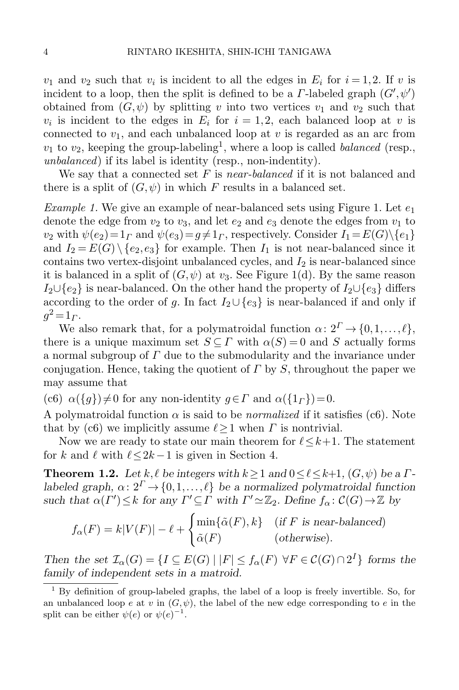$v_1$  and  $v_2$  such that  $v_i$  is incident to all the edges in  $E_i$  for  $i = 1, 2$ . If v is incident to a loop, then the split is defined to be a  $\Gamma$ -labeled graph  $(G',\psi')$ obtained from  $(G, \psi)$  by splitting v into two vertices  $v_1$  and  $v_2$  such that  $v_i$  is incident to the edges in  $E_i$  for  $i = 1, 2$ , each balanced loop at v is connected to  $v_1$ , and each unbalanced loop at v is regarded as an arc from  $v_1$  to  $v_2$ , keeping the group-labeling<sup>1</sup>, where a loop is called *balanced* (resp., unbalanced) if its label is identity (resp., non-indentity).

We say that a connected set  $F$  is near-balanced if it is not balanced and there is a split of  $(G, \psi)$  in which F results in a balanced set.

*Example [1.](#page-4-0)* We give an example of near-balanced sets using Figure 1. Let  $e_1$ denote the edge from  $v_2$  to  $v_3$ , and let  $e_2$  and  $e_3$  denote the edges from  $v_1$  to  $v_2$  with  $\psi(e_2) = 1_\Gamma$  and  $\psi(e_3) = q \neq 1_\Gamma$ , respectively. Consider  $I_1 = E(G) \setminus \{e_1\}$ and  $I_2 = E(G) \setminus \{e_2, e_3\}$  for example. Then  $I_1$  is not near-balanced since it contains two vertex-disjoint unbalanced cycles, and  $I_2$  is near-balanced since it is balanced in a split of  $(G, \psi)$  at  $v_3$ . See Figure [1\(](#page-4-0)d). By the same reason  $I_2 \cup \{e_2\}$  is near-balanced. On the other hand the property of  $I_2 \cup \{e_3\}$  differs according to the order of g. In fact  $I_2 \cup \{e_3\}$  is near-balanced if and only if  $g^2 = 1 \, r$ .

We also remark that, for a polymatroidal function  $\alpha: 2^{\Gamma} \to \{0,1,\ldots,\ell\},\$ there is a unique maximum set  $S \subseteq \Gamma$  with  $\alpha(S) = 0$  and S actually forms a normal subgroup of  $\Gamma$  due to the submodularity and the invariance under conjugation. Hence, taking the quotient of  $\Gamma$  by  $S$ , throughout the paper we may assume that

(c6)  $\alpha({g})\neq0$  for any non-identity  $g\in\Gamma$  and  $\alpha({1_{\Gamma}})=0$ .

A polymatroidal function  $\alpha$  is said to be *normalized* if it satisfies (c6). Note that by (c6) we implicitly assume  $\ell \geq 1$  when  $\Gamma$  is nontrivial.

Now we are ready to state our main theorem for  $\ell \leq k+1$ . The statement for k and  $\ell$  with  $\ell \leq 2k-1$  is given in Section [4.](#page-11-0)

<span id="page-3-0"></span>**Theorem 1.2.** Let k,  $\ell$  be integers with  $k \ge 1$  and  $0 \le \ell \le k+1$ ,  $(G, \psi)$  be a  $\Gamma$ labeled graph,  $\alpha: 2^{\Gamma} \rightarrow \{0,1,\ldots,\ell\}$  be a normalized polymatroidal function such that  $\alpha(\Gamma') \leq k$  for any  $\Gamma' \subseteq \Gamma$  with  $\Gamma' \simeq \mathbb{Z}_2$ . Define  $f_\alpha : C(G) \to \mathbb{Z}$  by

$$
f_{\alpha}(F) = k|V(F)| - \ell + \begin{cases} \min{\{\tilde{\alpha}(F), k\}} & (\text{if } F \text{ is near-balanced})\\ \tilde{\alpha}(F) & (\text{otherwise}). \end{cases}
$$

Then the set  $\mathcal{I}_{\alpha}(G) = \{I \subseteq E(G) \mid |F| \le f_{\alpha}(F) \ \forall F \in C(G) \cap 2^I \}$  forms the family of independent sets in a matroid.

<sup>1</sup> By definition of group-labeled graphs, the label of a loop is freely invertible. So, for an unbalanced loop e at v in  $(G, \psi)$ , the label of the new edge corresponding to e in the split can be either  $\psi(e)$  or  $\psi(e)^{-1}$ .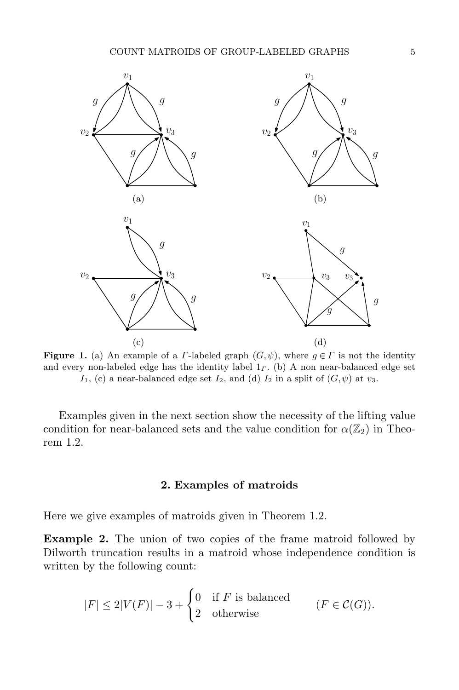

<span id="page-4-0"></span>**Figure 1.** (a) An example of a *Γ*-labeled graph  $(G, \psi)$ , where  $g \in \Gamma$  is not the identity and every non-labeled edge has the identity label  $1<sub>r</sub>$ . (b) A non near-balanced edge set I<sub>1</sub>, (c) a near-balanced edge set I<sub>2</sub>, and (d) I<sub>2</sub> in a split of  $(G, \psi)$  at  $v_3$ .

Examples given in the next section show the necessity of the lifting value condition for near-balanced sets and the value condition for  $\alpha(\mathbb{Z}_2)$  in Theorem [1.2.](#page-3-0)

# 2. Examples of matroids

Here we give examples of matroids given in Theorem [1.2.](#page-3-0)

Example 2. The union of two copies of the frame matroid followed by Dilworth truncation results in a matroid whose independence condition is written by the following count:

$$
|F| \le 2|V(F)| - 3 + \begin{cases} 0 & \text{if } F \text{ is balanced} \\ 2 & \text{otherwise} \end{cases} \qquad (F \in \mathcal{C}(G)).
$$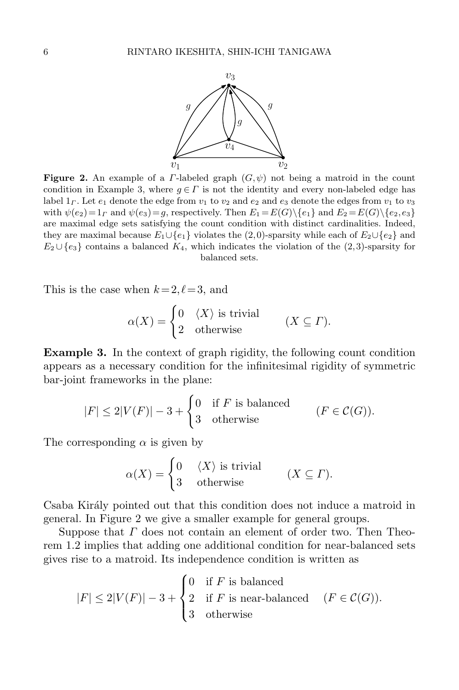

<span id="page-5-0"></span>**Figure 2.** An example of a *Γ*-labeled graph  $(G, \psi)$  not being a matroid in the count condition in Example 3, where  $g \in \Gamma$  is not the identity and every non-labeled edge has label  $1<sub>\Gamma</sub>$ . Let  $e_1$  denote the edge from  $v_1$  to  $v_2$  and  $e_2$  and  $e_3$  denote the edges from  $v_1$  to  $v_3$ with  $\psi(e_2)=1_\Gamma$  and  $\psi(e_3)=g$ , respectively. Then  $E_1=E(G)\setminus\{e_1\}$  and  $E_2=E(G)\setminus\{e_2,e_3\}$ are maximal edge sets satisfying the count condition with distinct cardinalities. Indeed, they are maximal because  $E_1 \cup \{e_1\}$  violates the (2,0)-sparsity while each of  $E_2 \cup \{e_2\}$  and  $E_2 \cup \{e_3\}$  contains a balanced  $K_4$ , which indicates the violation of the (2,3)-sparsity for balanced sets.

This is the case when  $k = 2, \ell = 3$ , and

$$
\alpha(X) = \begin{cases} 0 & \langle X \rangle \text{ is trivial} \\ 2 & \text{otherwise} \end{cases} \qquad (X \subseteq \Gamma).
$$

Example 3. In the context of graph rigidity, the following count condition appears as a necessary condition for the infinitesimal rigidity of symmetric bar-joint frameworks in the plane:

$$
|F| \le 2|V(F)| - 3 + \begin{cases} 0 & \text{if } F \text{ is balanced} \\ 3 & \text{otherwise} \end{cases} \qquad (F \in \mathcal{C}(G)).
$$

The corresponding  $\alpha$  is given by

$$
\alpha(X) = \begin{cases} 0 & \langle X \rangle \text{ is trivial} \\ 3 & \text{otherwise} \end{cases} \qquad (X \subseteq \Gamma).
$$

Csaba Király pointed out that this condition does not induce a matroid in general. In Figure [2](#page-5-0) we give a smaller example for general groups.

Suppose that  $\Gamma$  does not contain an element of order two. Then Theorem [1.2](#page-3-0) implies that adding one additional condition for near-balanced sets gives rise to a matroid. Its independence condition is written as

$$
|F| \le 2|V(F)| - 3 + \begin{cases} 0 & \text{if } F \text{ is balanced} \\ 2 & \text{if } F \text{ is near-balanced} \\ 3 & \text{otherwise} \end{cases} (F \in \mathcal{C}(G)).
$$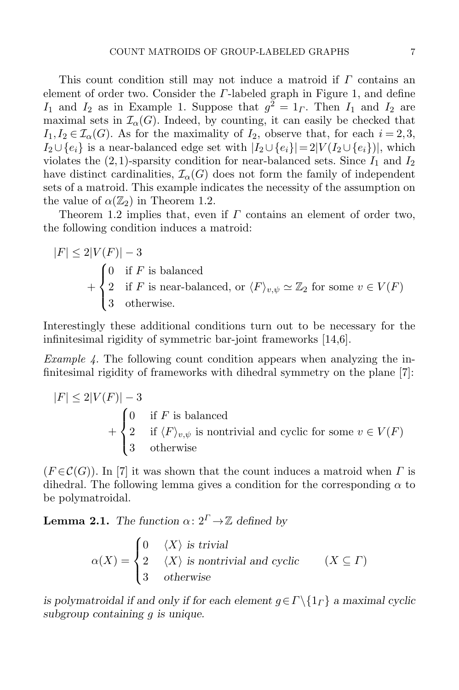This count condition still may not induce a matroid if  $\Gamma$  contains an element of order two. Consider the  $\Gamma$ -labeled graph in Figure [1,](#page-4-0) and define  $I_1$  and  $I_2$  as in Example 1. Suppose that  $g^2 = 1$ <sub>Γ</sub>. Then  $I_1$  and  $I_2$  are maximal sets in  $\mathcal{I}_{\alpha}(G)$ . Indeed, by counting, it can easily be checked that  $I_1, I_2 \in \mathcal{I}_{\alpha}(G)$ . As for the maximality of  $I_2$ , observe that, for each  $i = 2, 3$ ,  $I_2 \cup \{e_i\}$  is a near-balanced edge set with  $|I_2 \cup \{e_i\}| = 2|V(I_2 \cup \{e_i\})|$ , which violates the  $(2,1)$ -sparsity condition for near-balanced sets. Since  $I_1$  and  $I_2$ have distinct cardinalities,  $\mathcal{I}_{\alpha}(G)$  does not form the family of independent sets of a matroid. This example indicates the necessity of the assumption on the value of  $\alpha(\mathbb{Z}_2)$  in Theorem [1.2.](#page-3-0)

Theorem [1.2](#page-3-0) implies that, even if  $\Gamma$  contains an element of order two, the following condition induces a matroid:

$$
|F| \le 2|V(F)| - 3
$$
  
+  $\begin{cases} 0 & \text{if } F \text{ is balanced} \\ 2 & \text{if } F \text{ is near-balanced, or } \langle F \rangle_{v,\psi} \simeq \mathbb{Z}_2 \text{ for some } v \in V(F) \\ 3 & \text{otherwise.} \end{cases}$ 

Interestingly these additional conditions turn out to be necessary for the infinitesimal rigidity of symmetric bar-joint frameworks [\[14,](#page-25-12)[6\]](#page-25-13).

*Example 4.* The following count condition appears when analyzing the infinitesimal rigidity of frameworks with dihedral symmetry on the plane [\[7\]](#page-25-10):

$$
|F| \le 2|V(F)| - 3
$$
  
+ 
$$
\begin{cases} 0 & \text{if } F \text{ is balanced} \\ 2 & \text{if } \langle F \rangle_{v,\psi} \text{ is nontrivial and cyclic for some } v \in V(F) \\ 3 & \text{otherwise} \end{cases}
$$

 $(F \in \mathcal{C}(G))$ . In [\[7\]](#page-25-10) it was shown that the count induces a matroid when  $\Gamma$  is dihedral. The following lemma gives a condition for the corresponding  $\alpha$  to be polymatroidal.

**Lemma 2.1.** The function  $\alpha: 2^{\Gamma} \rightarrow \mathbb{Z}$  defined by

 $\alpha(X) =$  $\sqrt{ }$  $\int$  $\overline{\mathcal{L}}$  $0 \langle X \rangle$  is trivial 2  $\langle X \rangle$  is nontrivial and cyclic 3 otherwise  $(X \subseteq \Gamma)$ 

is polymatroidal if and only if for each element  $g \in \Gamma \backslash \{1\}$  a maximal cyclic subgroup containing *q* is unique.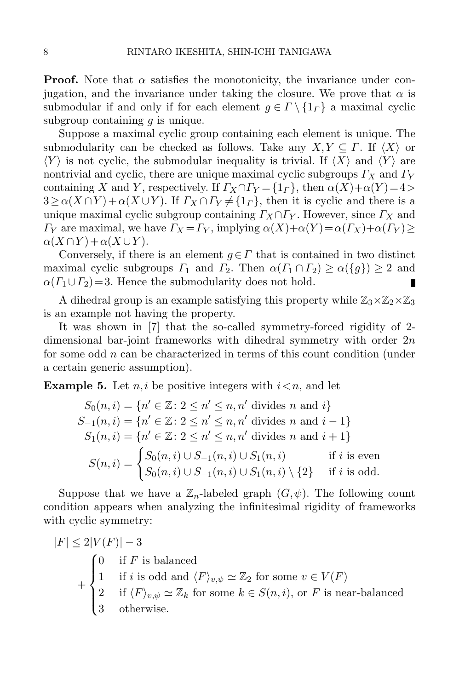**Proof.** Note that  $\alpha$  satisfies the monotonicity, the invariance under conjugation, and the invariance under taking the closure. We prove that  $\alpha$  is submodular if and only if for each element  $g \in \Gamma \setminus \{1_\Gamma\}$  a maximal cyclic subgroup containing  $q$  is unique.

Suppose a maximal cyclic group containing each element is unique. The submodularity can be checked as follows. Take any  $X, Y \subseteq \Gamma$ . If  $\langle X \rangle$  or  $\langle Y \rangle$  is not cyclic, the submodular inequality is trivial. If  $\langle X \rangle$  and  $\langle Y \rangle$  are nontrivial and cyclic, there are unique maximal cyclic subgroups  $\Gamma_X$  and  $\Gamma_Y$ containing X and Y, respectively. If  $\Gamma_X \cap \Gamma_Y = \{1_\Gamma\}$ , then  $\alpha(X) + \alpha(Y) = 4 >$  $3 \ge \alpha(X \cap Y) + \alpha(X \cup Y)$ . If  $\Gamma_X \cap \Gamma_Y \ne \{1_\Gamma\}$ , then it is cyclic and there is a unique maximal cyclic subgroup containing  $\Gamma_X \cap \Gamma_Y$ . However, since  $\Gamma_X$  and  $\Gamma_Y$  are maximal, we have  $\Gamma_X = \Gamma_Y$ , implying  $\alpha(X) + \alpha(Y) = \alpha(\Gamma_X) + \alpha(\Gamma_Y) \ge$  $\alpha(X \cap Y) + \alpha(X \cup Y)$ .

Conversely, if there is an element  $g \in \Gamma$  that is contained in two distinct maximal cyclic subgroups  $\Gamma_1$  and  $\Gamma_2$ . Then  $\alpha(\Gamma_1 \cap \Gamma_2) \ge \alpha(\lbrace g \rbrace) \ge 2$  and  $\alpha(\Gamma_1 \cup \Gamma_2) = 3$ . Hence the submodularity does not hold.  $\alpha(\Gamma_1 \cup \Gamma_2) = 3$ . Hence the submodularity does not hold.

A dihedral group is an example satisfying this property while  $\mathbb{Z}_3\times\mathbb{Z}_2\times\mathbb{Z}_3$ is an example not having the property.

It was shown in [\[7\]](#page-25-10) that the so-called symmetry-forced rigidity of 2 dimensional bar-joint frameworks with dihedral symmetry with order  $2n$ for some odd  $n$  can be characterized in terms of this count condition (under a certain generic assumption).

**Example 5.** Let *n, i* be positive integers with  $i \leq n$ , and let

$$
S_0(n, i) = \{n' \in \mathbb{Z} : 2 \le n' \le n, n' \text{ divides } n \text{ and } i\}
$$
  
\n
$$
S_{-1}(n, i) = \{n' \in \mathbb{Z} : 2 \le n' \le n, n' \text{ divides } n \text{ and } i - 1\}
$$
  
\n
$$
S_1(n, i) = \{n' \in \mathbb{Z} : 2 \le n' \le n, n' \text{ divides } n \text{ and } i + 1\}
$$
  
\n
$$
S(n, i) = \begin{cases} S_0(n, i) \cup S_{-1}(n, i) \cup S_1(n, i) & \text{if } i \text{ is even} \\ S_0(n, i) \cup S_{-1}(n, i) \cup S_1(n, i) \setminus \{2\} & \text{if } i \text{ is odd.} \end{cases}
$$

Suppose that we have a  $\mathbb{Z}_n$ -labeled graph  $(G, \psi)$ . The following count condition appears when analyzing the infinitesimal rigidity of frameworks with cyclic symmetry:

$$
|F| \le 2|V(F)| - 3
$$
  
+ 
$$
\begin{cases} 0 & \text{if } F \text{ is balanced} \\ 1 & \text{if } i \text{ is odd and } \langle F \rangle_{v,\psi} \simeq \mathbb{Z}_2 \text{ for some } v \in V(F) \\ 2 & \text{if } \langle F \rangle_{v,\psi} \simeq \mathbb{Z}_k \text{ for some } k \in S(n,i), \text{ or } F \text{ is near-balanced} \\ 3 & \text{otherwise.} \end{cases}
$$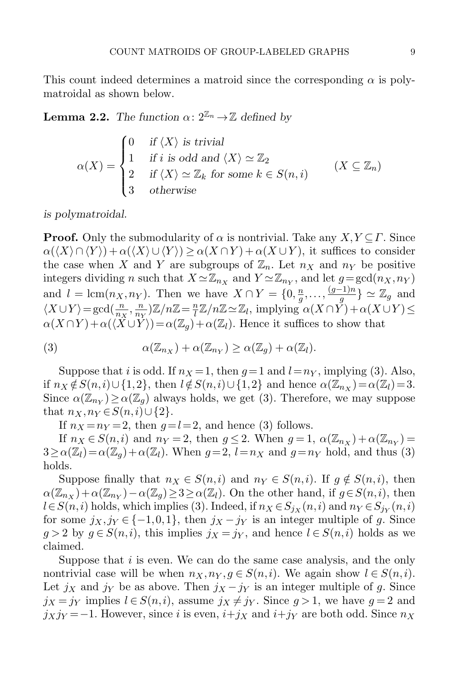This count indeed determines a matroid since the corresponding  $\alpha$  is polymatroidal as shown below.

**Lemma 2.2.** The function  $\alpha: 2^{\mathbb{Z}_n} \to \mathbb{Z}$  defined by

$$
\alpha(X) = \begin{cases}\n0 & \text{if } \langle X \rangle \text{ is trivial} \\
1 & \text{if } i \text{ is odd and } \langle X \rangle \simeq \mathbb{Z}_2 \\
2 & \text{if } \langle X \rangle \simeq \mathbb{Z}_k \text{ for some } k \in S(n, i) \\
3 & \text{otherwise}\n\end{cases} \quad (X \subseteq \mathbb{Z}_n)
$$

is polymatroidal.

**Proof.** Only the submodularity of  $\alpha$  is nontrivial. Take any  $X, Y \subseteq \Gamma$ . Since  $\alpha(\langle X \rangle \cap \langle Y \rangle) + \alpha(\langle X \rangle \cup \langle Y \rangle) \geq \alpha(X \cap Y) + \alpha(X \cup Y)$ , it suffices to consider the case when X and Y are subgroups of  $\mathbb{Z}_n$ . Let  $n_X$  and  $n_Y$  be positive integers dividing n such that  $X \simeq \mathbb{Z}_{n_X}$  and  $Y \simeq \mathbb{Z}_{n_Y}$ , and let  $g = \gcd(n_X, n_Y)$ and  $l = \text{lcm}(n_X, n_Y)$ . Then we have  $X \cap Y = \{0, \frac{n}{g}\}$  $\frac{n}{g}, \ldots, \frac{(g-1)n}{g}$   $\simeq \mathbb{Z}_g$  and  $\langle X \cup Y \rangle = \gcd\left(\frac{n}{n_X}, \frac{n}{n_Y}\right)$  $\frac{n}{n_Y}$  $\left| \mathbb{Z}/n \mathbb{Z} \right| = \frac{n}{l}$  $\frac{n}{l}\mathbb{Z}/n\mathbb{Z} \simeq \mathbb{Z}_l$ , implying  $\alpha(X \cap Y) + \alpha(X \cup Y) \leq$  $\alpha(X \cap Y) + \alpha(\langle X \cup Y \rangle) = \alpha(\mathbb{Z}_q) + \alpha(\mathbb{Z}_l)$ . Hence it suffices to show that

<span id="page-8-0"></span>(3) 
$$
\alpha(\mathbb{Z}_{n_X}) + \alpha(\mathbb{Z}_{n_Y}) \geq \alpha(\mathbb{Z}_g) + \alpha(\mathbb{Z}_l).
$$

Suppose that i is odd. If  $n_X = 1$ , then  $q = 1$  and  $l = n_Y$ , implying [\(3\)](#page-8-0). Also, if  $n_X \notin S(n, i) \cup \{1, 2\}$ , then  $l \notin S(n, i) \cup \{1, 2\}$  and hence  $\alpha(\mathbb{Z}_{n_X}) = \alpha(\mathbb{Z}_l) = 3$ . Since  $\alpha(\mathbb{Z}_{n_Y}) \geq \alpha(\mathbb{Z}_g)$  always holds, we get [\(3\)](#page-8-0). Therefore, we may suppose that  $n_X, n_Y \in S(n, i) \cup \{2\}.$ 

If  $n_X = n_Y = 2$ , then  $q=l=2$ , and hence [\(3\)](#page-8-0) follows.

If  $n_X \in S(n,i)$  and  $n_Y = 2$ , then  $g \le 2$ . When  $g = 1$ ,  $\alpha(\mathbb{Z}_{n_X}) + \alpha(\mathbb{Z}_{n_Y}) =$  $3 \ge \alpha(\mathbb{Z}_l) = \alpha(\mathbb{Z}_q) + \alpha(\mathbb{Z}_l)$ . When  $g = 2$ ,  $l = n_X$  and  $g = n_Y$  hold, and thus [\(3\)](#page-8-0) holds.

Suppose finally that  $n_X \in S(n,i)$  and  $n_Y \in S(n,i)$ . If  $g \notin S(n,i)$ , then  $\alpha(\mathbb{Z}_{n_X})+\alpha(\mathbb{Z}_{n_Y})-\alpha(\mathbb{Z}_g)\geq 3\geq \alpha(\mathbb{Z}_l)$ . On the other hand, if  $g\in S(n,i)$ , then  $l \in S(n, i)$  holds, which implies [\(3\)](#page-8-0). Indeed, if  $n_X \in S_{j_X}(n, i)$  and  $n_Y \in S_{j_Y}(n, i)$ for some  $j_X, j_Y \in \{-1, 0, 1\}$ , then  $j_X - j_Y$  is an integer multiple of g. Since  $g > 2$  by  $g \in S(n, i)$ , this implies  $j_X = j_Y$ , and hence  $l \in S(n, i)$  holds as we claimed.

Suppose that  $i$  is even. We can do the same case analysis, and the only nontrivial case will be when  $n_X, n_Y, g \in S(n, i)$ . We again show  $l \in S(n, i)$ . Let  $j_X$  and  $j_Y$  be as above. Then  $j_X - j_Y$  is an integer multiple of g. Since  $j_X = j_Y$  implies  $l \in S(n, i)$ , assume  $j_X \neq j_Y$ . Since  $g > 1$ , we have  $g = 2$  and  $j_Xj_Y = -1$ . However, since i is even,  $i+j_X$  and  $i+j_Y$  are both odd. Since  $n_X$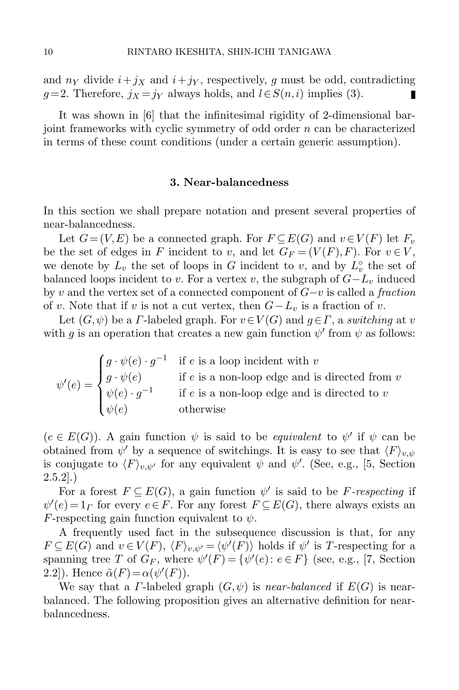and  $n<sub>Y</sub>$  divide  $i+j<sub>X</sub>$  and  $i+j<sub>Y</sub>$ , respectively, g must be odd, contradicting  $g=2$ . Therefore,  $j_X=j_Y$  always holds, and  $l\in S(n,i)$  implies [\(3\)](#page-8-0).

It was shown in [\[6\]](#page-25-13) that the infinitesimal rigidity of 2-dimensional barjoint frameworks with cyclic symmetry of odd order n can be characterized in terms of these count conditions (under a certain generic assumption).

#### 3. Near-balancedness

In this section we shall prepare notation and present several properties of near-balancedness.

Let  $G = (V, E)$  be a connected graph. For  $F \subseteq E(G)$  and  $v \in V(F)$  let  $F_v$ be the set of edges in F incident to v, and let  $G_F = (V(F), F)$ . For  $v \in V$ , we denote by  $L_v$  the set of loops in G incident to v, and by  $L_v^{\circ}$  the set of balanced loops incident to v. For a vertex v, the subgraph of  $G-L_v$  induced by v and the vertex set of a connected component of  $G-v$  is called a fraction of v. Note that if v is not a cut vertex, then  $G-L_v$  is a fraction of v.

Let  $(G, \psi)$  be a *Γ*-labeled graph. For  $v \in V(G)$  and  $g \in \Gamma$ , a switching at v with g is an operation that creates a new gain function  $\psi'$  from  $\psi$  as follows:

| $\psi'(e) = \begin{cases} g \cdot \psi(e) \ \psi(e) \cdot g^{-1} \end{cases}$ |           | $\int g \cdot \psi(e) \cdot g^{-1}$ if e is a loop incident with v |
|-------------------------------------------------------------------------------|-----------|--------------------------------------------------------------------|
|                                                                               |           | if $e$ is a non-loop edge and is directed from $v$                 |
|                                                                               |           | if $e$ is a non-loop edge and is directed to $v$                   |
|                                                                               | $\psi(e)$ | otherwise                                                          |

 $(e \in E(G))$ . A gain function  $\psi$  is said to be *equivalent* to  $\psi'$  if  $\psi$  can be obtained from  $\psi'$  by a sequence of switchings. It is easy to see that  $\langle F \rangle_{v,\psi}$ is conjugate to  $\langle F \rangle_{v,\psi'}$  for any equivalent  $\psi$  and  $\psi'$ . (See, e.g., [\[5,](#page-25-14) Section  $2.5.2$ ].)

For a forest  $F \subseteq E(G)$ , a gain function  $\psi'$  is said to be F-respecting if  $\psi'(e) = 1$ <sub>*Γ*</sub> for every  $e \in F$ . For any forest  $F \subseteq E(G)$ , there always exists an F-respecting gain function equivalent to  $\psi$ .

A frequently used fact in the subsequence discussion is that, for any  $F \subseteq E(G)$  and  $v \in V(F)$ ,  $\langle F \rangle_{v,\psi'} = \langle \psi'(F) \rangle$  holds if  $\psi'$  is T-respecting for a spanning tree T of  $G_F$ , where  $\psi'(F) = {\psi'(e) : e \in F}$  (see, e.g., [\[7,](#page-25-10) Section 2.2]). Hence  $\tilde{\alpha}(F) = \alpha(\psi'(F))$ .

<span id="page-9-0"></span>We say that a *Γ*-labeled graph  $(G, \psi)$  is *near-balanced* if  $E(G)$  is nearbalanced. The following proposition gives an alternative definition for nearbalancedness.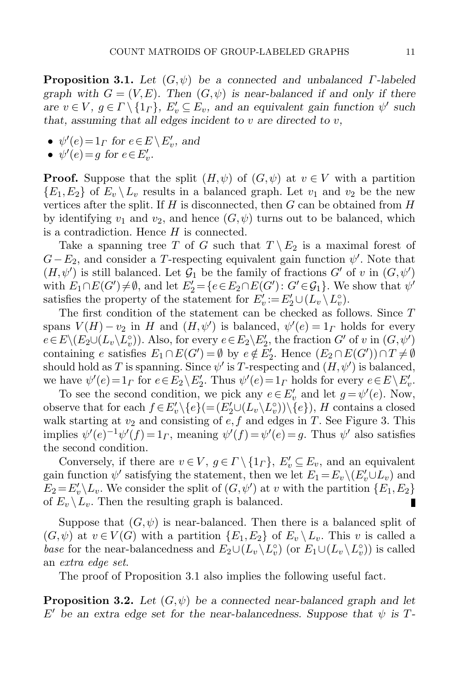**Proposition 3.1.** Let  $(G, \psi)$  be a connected and unbalanced  $\Gamma$ -labeled graph with  $G = (V, E)$ . Then  $(G, \psi)$  is near-balanced if and only if there are  $v \in V$ ,  $g \in \Gamma \setminus \{1_{\Gamma}\}\,$ ,  $E'_v \subseteq E_v$ , and an equivalent gain function  $\psi'$  such that, assuming that all edges incident to  $v$  are directed to  $v$ ,

- $\psi'(e) = 1_{\Gamma}$  for  $e \in E \setminus E'_v$ , and
- $\psi'(e) = g$  for  $e \in E'_v$ .

**Proof.** Suppose that the split  $(H, \psi)$  of  $(G, \psi)$  at  $v \in V$  with a partition  $\{E_1,E_2\}$  of  $E_v \setminus L_v$  results in a balanced graph. Let  $v_1$  and  $v_2$  be the new vertices after the split. If  $H$  is disconnected, then  $G$  can be obtained from  $H$ by identifying  $v_1$  and  $v_2$ , and hence  $(G, \psi)$  turns out to be balanced, which is a contradiction. Hence  $H$  is connected.

Take a spanning tree T of G such that  $T \setminus E_2$  is a maximal forest of  $G-E_2$ , and consider a T-respecting equivalent gain function  $\psi'$ . Note that  $(H, \psi')$  is still balanced. Let  $\mathcal{G}_1$  be the family of fractions  $G'$  of v in  $(G, \psi')$ with  $E_1 \cap E(G') \neq \emptyset$ , and let  $E'_2 = \{e \in E_2 \cap E(G') : G' \in \mathcal{G}_1\}$ . We show that  $\psi'$ satisfies the property of the statement for  $E'_v := E'_2 \cup (L_v \setminus L_v^{\circ})$ .

The first condition of the statement can be checked as follows. Since T spans  $V(H) - v_2$  in H and  $(H, \psi')$  is balanced,  $\psi'(e) = 1$ <sub>L</sub> holds for every  $e \in E \setminus (E_2 \cup (L_v \setminus L_v^{\circ}))$ . Also, for every  $e \in E_2 \setminus E'_2$ , the fraction  $G'$  of v in  $(G, \psi')$ containing e satisfies  $E_1 \cap E(G') = \emptyset$  by  $e \notin E'_2$ . Hence  $(E_2 \cap E(G')) \cap T \neq \emptyset$ should hold as T is spanning. Since  $\psi'$  is T-respecting and  $(H, \psi')$  is balanced, we have  $\psi'(e) = 1$ <sub>Γ</sub> for  $e \in E_2 \setminus E'_2$ . Thus  $\psi'(e) = 1$ <sub>Γ</sub> holds for every  $e \in E \setminus E'_v$ .

To see the second condition, we pick any  $e \in E'_v$  and let  $g = \psi'(e)$ . Now, observe that for each  $f \in E'_v \setminus \{e\} (= (E'_2 \cup (L_v \setminus L_v^{\circ})) \setminus \{e\})$ , H contains a closed walk starting at  $v_2$  and consisting of  $e, f$  and edges in T. See Figure [3.](#page-11-1) This implies  $\psi'(e)^{-1}\psi'(f) = 1_F$ , meaning  $\psi'(f) = \psi'(e) = g$ . Thus  $\psi'$  also satisfies the second condition.

Conversely, if there are  $v \in V$ ,  $g \in \Gamma \setminus \{1_{\Gamma}\}\,$ ,  $E'_v \subseteq E_v$ , and an equivalent gain function  $\psi'$  satisfying the statement, then we let  $E_1 = E_v \setminus (E'_v \cup L_v)$  and  $E_2 = E_v' \backslash L_v$ . We consider the split of  $(G, \psi')$  at v with the partition  $\{E_1, E_2\}$ of  $E_v \backslash L_v$ . Then the resulting graph is balanced. П

Suppose that  $(G, \psi)$  is near-balanced. Then there is a balanced split of  $(G,\psi)$  at  $v \in V(G)$  with a partition  $\{E_1,E_2\}$  of  $E_v \setminus L_v$ . This v is called a base for the near-balancedness and  $E_2 \cup (L_v \backslash L_v^{\circ})$  (or  $E_1 \cup (L_v \backslash L_v^{\circ})$ ) is called an extra edge set.

The proof of Proposition [3.1](#page-9-0) also implies the following useful fact.

<span id="page-10-0"></span>**Proposition 3.2.** Let  $(G, \psi)$  be a connected near-balanced graph and let  $E'$  be an extra edge set for the near-balancedness. Suppose that  $\psi$  is T-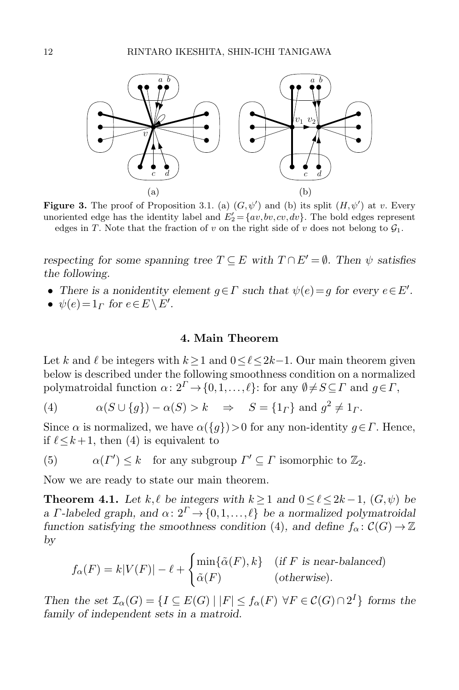

<span id="page-11-1"></span>**Figure 3.** The proof of Proposition [3.1.](#page-9-0) (a)  $(G, \psi')$  and (b) its split  $(H, \psi')$  at v. Every unoriented edge has the identity label and  $E'_2 = \{av, bv, cv, dv\}$ . The bold edges represent edges in T. Note that the fraction of v on the right side of v does not belong to  $\mathcal{G}_1$ .

respecting for some spanning tree  $T \subseteq E$  with  $T \cap E' = \emptyset$ . Then  $\psi$  satisfies the following.

- There is a nonidentity element  $g \in \Gamma$  such that  $\psi(e) = g$  for every  $e \in E'$ .
- $\psi(e) = 1_\Gamma$  for  $e \in E \setminus E'$ .

### 4. Main Theorem

<span id="page-11-0"></span>Let k and  $\ell$  be integers with  $k\geq 1$  and  $0\leq \ell \leq 2k-1$ . Our main theorem given below is described under the following smoothness condition on a normalized polymatroidal function  $\alpha: 2^{\Gamma} \to \{0,1,\ldots,\ell\}$ : for any  $\emptyset \neq S \subseteq \Gamma$  and  $g \in \Gamma$ ,

<span id="page-11-2"></span>(4) 
$$
\alpha(S \cup \{g\}) - \alpha(S) > k \Rightarrow S = \{1_F\} \text{ and } g^2 \neq 1_F.
$$

Since  $\alpha$  is normalized, we have  $\alpha({g})>0$  for any non-identity  $g \in \Gamma$ . Hence, if  $\ell \leq k+1$ , then [\(4\)](#page-11-2) is equivalent to

<span id="page-11-3"></span>(5) 
$$
\alpha(\Gamma') \leq k
$$
 for any subgroup  $\Gamma' \subseteq \Gamma$  isomorphic to  $\mathbb{Z}_2$ .

Now we are ready to state our main theorem.

<span id="page-11-4"></span>**Theorem 4.1.** Let k,  $\ell$  be integers with k > 1 and  $0 \leq \ell \leq 2k - 1$ ,  $(G, \psi)$  be a Γ-labeled graph, and  $\alpha: 2^{\Gamma} \rightarrow \{0,1,\ldots,\ell\}$  be a normalized polymatroidal function satisfying the smoothness condition [\(4\)](#page-11-2), and define  $f_{\alpha} \colon \mathcal{C}(G) \to \mathbb{Z}$ by

$$
f_{\alpha}(F) = k|V(F)| - \ell + \begin{cases} \min{\{\tilde{\alpha}(F), k\}} & (\text{if } F \text{ is near-balanced})\\ \tilde{\alpha}(F) & (\text{otherwise}). \end{cases}
$$

Then the set  $\mathcal{I}_{\alpha}(G) = \{I \subseteq E(G) \mid |F| \le f_{\alpha}(F) \ \forall F \in C(G) \cap 2^{I}\}\)$  forms the family of independent sets in a matroid.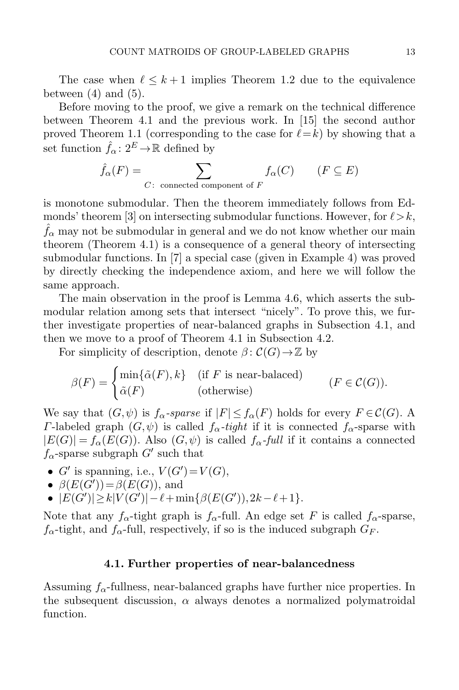The case when  $\ell \leq k + 1$  implies Theorem [1.2](#page-3-0) due to the equivalence between  $(4)$  and  $(5)$ .

Before moving to the proof, we give a remark on the technical difference between Theorem [4.1](#page-11-4) and the previous work. In [\[15\]](#page-25-9) the second author proved Theorem [1.1](#page-2-0) (corresponding to the case for  $\ell=k$ ) by showing that a set function  $\hat{f}_{\alpha} : 2^{E} \to \mathbb{R}$  defined by

$$
\hat{f}_{\alpha}(F) = \sum_{C \colon \text{ connected component of } F} f_{\alpha}(C) \qquad (F \subseteq E)
$$

is monotone submodular. Then the theorem immediately follows from Ed-monds' theorem [\[3\]](#page-25-15) on intersecting submodular functions. However, for  $\ell > k$ ,  $f_{\alpha}$  may not be submodular in general and we do not know whether our main theorem (Theorem [4.1\)](#page-11-4) is a consequence of a general theory of intersecting submodular functions. In [\[7\]](#page-25-10) a special case (given in Example 4) was proved by directly checking the independence axiom, and here we will follow the same approach.

The main observation in the proof is Lemma [4.6,](#page-16-0) which asserts the submodular relation among sets that intersect "nicely". To prove this, we further investigate properties of near-balanced graphs in Subsection [4.1,](#page-12-0) and then we move to a proof of Theorem [4.1](#page-11-4) in Subsection [4.2.](#page-16-1)

For simplicity of description, denote  $\beta$ :  $\mathcal{C}(G) \rightarrow \mathbb{Z}$  by

$$
\beta(F) = \begin{cases} \min\{\tilde{\alpha}(F), k\} & \text{(if } F \text{ is near-balaced)}\\ \tilde{\alpha}(F) & \text{(otherwise)} \end{cases} (F \in \mathcal{C}(G)).
$$

We say that  $(G, \psi)$  is  $f_{\alpha}$ -sparse if  $|F| \leq f_{\alpha}(F)$  holds for every  $F \in \mathcal{C}(G)$ . A Γ-labeled graph  $(G, ψ)$  is called  $f_α$ -tight if it is connected  $f_α$ -sparse with  $|E(G)| = f_{\alpha}(E(G))$ . Also  $(G, \psi)$  is called  $f_{\alpha}$ -full if it contains a connected  $f_{\alpha}$ -sparse subgraph  $G'$  such that

- $G'$  is spanning, i.e.,  $V(G') = V(G)$ ,
- $\beta(E(G')) = \beta(E(G))$ , and
- $|E(G')| \ge k|V(G')| \ell + \min\{\beta(E(G')),2k-\ell+1\}.$

Note that any  $f_{\alpha}$ -tight graph is  $f_{\alpha}$ -full. An edge set F is called  $f_{\alpha}$ -sparse,  $f_{\alpha}$ -tight, and  $f_{\alpha}$ -full, respectively, if so is the induced subgraph  $G_F$ .

#### 4.1. Further properties of near-balancedness

<span id="page-12-1"></span><span id="page-12-0"></span>Assuming  $f_{\alpha}$ -fullness, near-balanced graphs have further nice properties. In the subsequent discussion,  $\alpha$  always denotes a normalized polymatroidal function.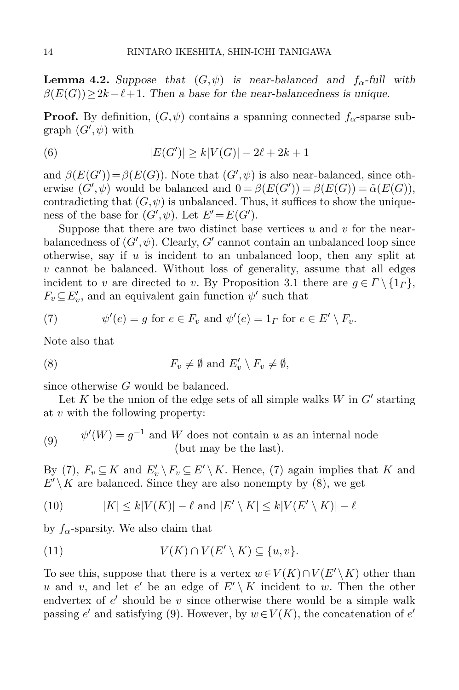**Lemma 4.2.** Suppose that  $(G, \psi)$  is near-balanced and  $f_{\alpha}$ -full with  $\beta(E(G))\geq 2k-\ell+1$ . Then a base for the near-balancedness is unique.

**Proof.** By definition,  $(G, \psi)$  contains a spanning connected  $f_{\alpha}$ -sparse sub $graph(G',\psi)$  with

<span id="page-13-5"></span>(6) 
$$
|E(G')| \ge k|V(G)| - 2\ell + 2k + 1
$$

and  $\beta(E(G')) = \beta(E(G))$ . Note that  $(G', \psi)$  is also near-balanced, since otherwise  $(G', \psi)$  would be balanced and  $0 = \beta(E(G')) = \beta(E(G)) = \tilde{\alpha}(E(G)),$ contradicting that  $(G, \psi)$  is unbalanced. Thus, it suffices to show the uniqueness of the base for  $(G',\psi)$ . Let  $E' = E(G')$ .

Suppose that there are two distinct base vertices  $u$  and  $v$  for the nearbalancedness of  $(G',\psi)$ . Clearly,  $G'$  cannot contain an unbalanced loop since otherwise, say if  $u$  is incident to an unbalanced loop, then any split at  $v$  cannot be balanced. Without loss of generality, assume that all edges incident to v are directed to v. By Proposition [3.1](#page-9-0) there are  $g \in \Gamma \setminus \{1_{\Gamma}\}\,$ ,  $F_v \subseteq E'_v$ , and an equivalent gain function  $\psi'$  such that

<span id="page-13-0"></span>(7) 
$$
\psi'(e) = g \text{ for } e \in F_v \text{ and } \psi'(e) = 1_\Gamma \text{ for } e \in E' \setminus F_v.
$$

Note also that

<span id="page-13-1"></span>(8) 
$$
F_v \neq \emptyset \text{ and } E'_v \setminus F_v \neq \emptyset,
$$

since otherwise G would be balanced.

Let K be the union of the edge sets of all simple walks  $W$  in  $G'$  starting at v with the following property:

<span id="page-13-2"></span>(9) 
$$
\psi'(W) = g^{-1} \text{ and } W \text{ does not contain } u \text{ as an internal node} (but may be the last).
$$

By [\(7\)](#page-13-0),  $F_v \subseteq K$  and  $E'_v \setminus F_v \subseteq E' \setminus K$ . Hence, (7) again implies that K and  $E' \backslash K$  are balanced. Since they are also nonempty by [\(8\)](#page-13-1), we get

<span id="page-13-4"></span>(10) 
$$
|K| \le k|V(K)| - \ell \text{ and } |E' \setminus K| \le k|V(E' \setminus K)| - \ell
$$

by  $f_{\alpha}$ -sparsity. We also claim that

<span id="page-13-3"></span>(11) 
$$
V(K) \cap V(E' \setminus K) \subseteq \{u, v\}.
$$

To see this, suppose that there is a vertex  $w\in V(K)\cap V(E'\setminus K)$  other than u and v, and let e' be an edge of  $E' \setminus K$  incident to w. Then the other endvertex of  $e'$  should be v since otherwise there would be a simple walk passing  $e'$  and satisfying [\(9\)](#page-13-2). However, by  $w \in V(K)$ , the concatenation of  $e'$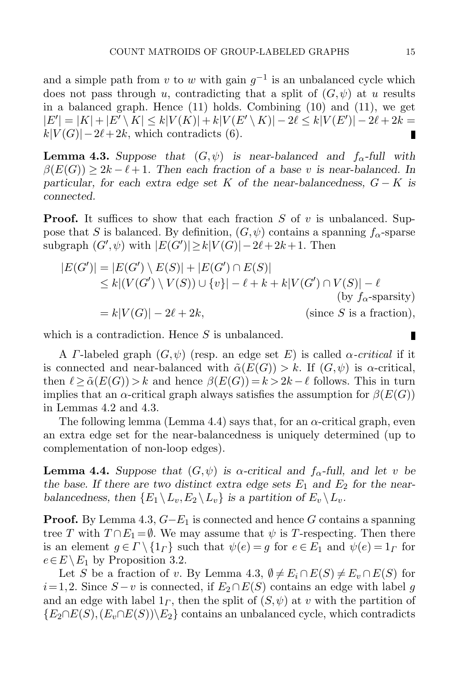and a simple path from v to w with gain  $g^{-1}$  is an unbalanced cycle which does not pass through u, contradicting that a split of  $(G, \psi)$  at u results in a balanced graph. Hence [\(11\)](#page-13-3) holds. Combining [\(10\)](#page-13-4) and [\(11\)](#page-13-3), we get  $|E'| = |K| + |E' \setminus K| \le k|V(K)| + k|V(E' \setminus K)| - 2\ell \le k|V(E')| - 2\ell + 2k =$  $k|V(G)|-2\ell+2k$ , which contradicts [\(6\)](#page-13-5). п

<span id="page-14-0"></span>**Lemma 4.3.** Suppose that  $(G, \psi)$  is near-balanced and  $f_{\alpha}$ -full with  $\beta(E(G)) > 2k - \ell + 1$ . Then each fraction of a base v is near-balanced. In particular, for each extra edge set K of the near-balancedness,  $G - K$  is connected.

**Proof.** It suffices to show that each fraction S of v is unbalanced. Suppose that S is balanced. By definition,  $(G, \psi)$  contains a spanning  $f_{\alpha}$ -sparse subgraph  $(G', \psi)$  with  $|E(G')| \ge k|V(G)| - 2\ell + 2k + 1$ . Then

$$
|E(G')| = |E(G') \setminus E(S)| + |E(G') \cap E(S)|
$$
  
\n
$$
\leq k |(V(G') \setminus V(S)) \cup \{v\}| - \ell + k + k |V(G') \cap V(S)| - \ell
$$
  
\n(by  $f_{\alpha}$ -sparsity)  
\n
$$
= k |V(G)| - 2\ell + 2k, \qquad \text{(since } S \text{ is a fraction)},
$$

which is a contradiction. Hence  $S$  is unbalanced.

A *Γ*-labeled graph  $(G, \psi)$  (resp. an edge set E) is called  $\alpha$ -critical if it is connected and near-balanced with  $\tilde{\alpha}(E(G)) > k$ . If  $(G, \psi)$  is  $\alpha$ -critical, then  $\ell > \tilde{\alpha}(E(G)) > k$  and hence  $\beta(E(G)) = k > 2k - \ell$  follows. This in turn implies that an  $\alpha$ -critical graph always satisfies the assumption for  $\beta(E(G))$ in Lemmas [4.2](#page-12-1) and [4.3.](#page-14-0)

The following lemma (Lemma [4.4\)](#page-14-1) says that, for an  $\alpha$ -critical graph, even an extra edge set for the near-balancedness is uniquely determined (up to complementation of non-loop edges).

<span id="page-14-1"></span>**Lemma 4.4.** Suppose that  $(G, \psi)$  is  $\alpha$ -critical and  $f_{\alpha}$ -full, and let v be the base. If there are two distinct extra edge sets  $E_1$  and  $E_2$  for the nearbalancedness, then  $\{E_1 \setminus L_v, E_2 \setminus L_v\}$  is a partition of  $E_v \setminus L_v$ .

**Proof.** By Lemma [4.3,](#page-14-0)  $G-E_1$  is connected and hence G contains a spanning tree T with  $T \cap E_1 = \emptyset$ . We may assume that  $\psi$  is T-respecting. Then there is an element  $g \in \Gamma \setminus \{1_{\Gamma}\}\$  such that  $\psi(e) = g$  for  $e \in E_1$  and  $\psi(e) = 1_{\Gamma}$  for  $e \in E \setminus E_1$  by Proposition [3.2.](#page-10-0)

Let S be a fraction of v. By Lemma [4.3,](#page-14-0)  $\emptyset \neq E_i \cap E(S) \neq E_v \cap E(S)$  for  $i=1,2$ . Since  $S-v$  is connected, if  $E_2 \cap E(S)$  contains an edge with label g and an edge with label  $1<sub>\Gamma</sub>$ , then the split of  $(S, \psi)$  at v with the partition of  ${E_2 \cap E(S), (E_v \cap E(S)) \setminus E_2}$  contains an unbalanced cycle, which contradicts

П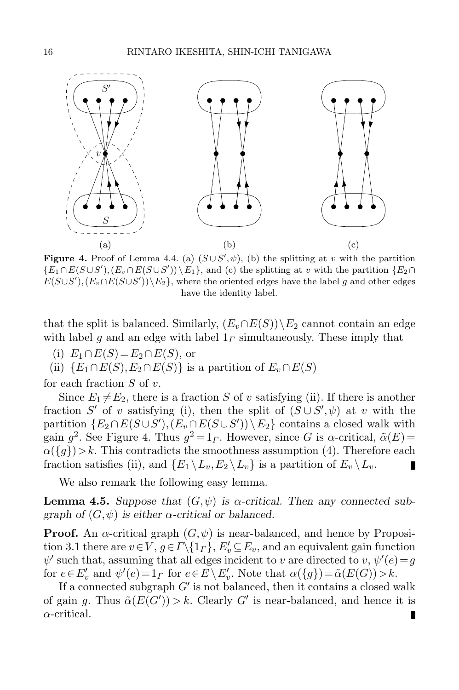

<span id="page-15-0"></span>**Figure 4.** Proof of Lemma [4.4.](#page-14-1) (a)  $(S \cup S', \psi)$ , (b) the splitting at v with the partition  $\{E_1 \cap E(S \cup S'), (E_v \cap E(S \cup S'))\backslash E_1\}$ , and (c) the splitting at v with the partition  $\{E_2 \cap E(S \cup S')\}$  $E(S \cup S'), (E_v \cap E(S \cup S'))\backslash E_2$ , where the oriented edges have the label g and other edges have the identity label.

that the split is balanced. Similarly,  $(E_v \cap E(S))\backslash E_2$  cannot contain an edge with label g and an edge with label  $1<sub>\Gamma</sub>$  simultaneously. These imply that

(i)  $E_1 \cap E(S) = E_2 \cap E(S)$ , or

(ii)  $\{E_1 \cap E(S), E_2 \cap E(S)\}\$ is a partition of  $E_v \cap E(S)$ 

for each fraction  $S$  of  $v$ .

Since  $E_1 \neq E_2$ , there is a fraction S of v satisfying (ii). If there is another fraction S' of v satisfying (i), then the split of  $(S \cup S', \psi)$  at v with the partition  $\{E_2 \cap E(S \cup S'), (E_v \cap E(S \cup S')) \setminus E_2\}$  contains a closed walk with gain  $g^2$ . See Figure [4.](#page-15-0) Thus  $g^2 = 1$ . However, since G is  $\alpha$ -critical,  $\tilde{\alpha}(E)$  =  $\alpha({g})\geq k$ . This contradicts the smoothness assumption [\(4\)](#page-11-2). Therefore each fraction satisfies (ii), and  $\{E_1 \setminus L_v, E_2 \setminus L_v\}$  is a partition of  $E_v \setminus L_v$ . П

We also remark the following easy lemma.

<span id="page-15-1"></span>**Lemma 4.5.** Suppose that  $(G, \psi)$  is  $\alpha$ -critical. Then any connected subgraph of  $(G, \psi)$  is either  $\alpha$ -critical or balanced.

**Proof.** An  $\alpha$ -critical graph  $(G, \psi)$  is near-balanced, and hence by Proposi-tion [3.1](#page-9-0) there are  $v \in V$ ,  $g \in \Gamma \setminus \{1_{\Gamma}\}\, E'_v \subseteq E_v$ , and an equivalent gain function  $\psi'$  such that, assuming that all edges incident to v are directed to v,  $\psi'(e) = g$ for  $e \in E'_v$  and  $\psi'(e) = 1_\Gamma$  for  $e \in E \setminus E'_v$ . Note that  $\alpha(\lbrace g \rbrace) = \tilde{\alpha}(E(G)) > k$ .

If a connected subgraph  $G'$  is not balanced, then it contains a closed walk of gain g. Thus  $\tilde{\alpha}(E(G')) > k$ . Clearly G' is near-balanced, and hence it is  $\alpha$ -critical. П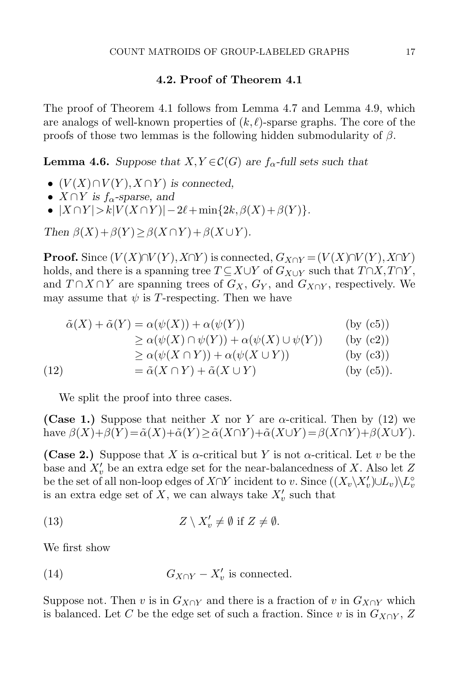## 4.2. Proof of Theorem [4.1](#page-11-4)

<span id="page-16-1"></span>The proof of Theorem [4.1](#page-11-4) follows from Lemma [4.7](#page-18-0) and Lemma [4.9,](#page-21-0) which are analogs of well-known properties of  $(k, \ell)$ -sparse graphs. The core of the proofs of those two lemmas is the following hidden submodularity of  $\beta$ .

<span id="page-16-0"></span>**Lemma 4.6.** Suppose that  $X, Y \in \mathcal{C}(G)$  are  $f_{\alpha}$ -full sets such that

- $(V(X) \cap V(Y), X \cap Y)$  is connected,
- $X \cap Y$  is  $f_{\alpha}$ -sparse, and
- $|X \cap Y| > k|V(X \cap Y)| 2\ell + \min\{2k, \beta(X) + \beta(Y)\}.$

Then  $\beta(X)+\beta(Y) \geq \beta(X \cap Y) + \beta(X \cup Y)$ .

**Proof.** Since  $(V(X)\cap V(Y), X\cap Y)$  is connected,  $G_{X\cap Y} = (V(X)\cap V(Y), X\cap Y)$ holds, and there is a spanning tree  $T \subseteq X \cup Y$  of  $G_{X \cup Y}$  such that  $T \cap X, T \cap Y$ , and  $T \cap X \cap Y$  are spanning trees of  $G_X$ ,  $G_Y$ , and  $G_{X \cap Y}$ , respectively. We may assume that  $\psi$  is T-respecting. Then we have

$$
\tilde{\alpha}(X) + \tilde{\alpha}(Y) = \alpha(\psi(X)) + \alpha(\psi(Y))
$$
 (by (c5))

$$
\geq \alpha(\psi(X) \cap \psi(Y)) + \alpha(\psi(X) \cup \psi(Y)) \qquad \text{(by (c2))}
$$

$$
\geq \alpha(\psi(X \cap Y)) + \alpha(\psi(X \cup Y))
$$
 (by (c3))

<span id="page-16-2"></span>(12)  $= \tilde{\alpha}(X \cap Y) + \tilde{\alpha}(X \cup Y)$  (by (c5)).

We split the proof into three cases.

(Case 1.) Suppose that neither X nor Y are  $\alpha$ -critical. Then by [\(12\)](#page-16-2) we have  $\beta(X)+\beta(Y)=\tilde{\alpha}(X)+\tilde{\alpha}(Y)\geq \tilde{\alpha}(X\cap Y)+\tilde{\alpha}(X\cup Y)=\beta(X\cap Y)+\beta(X\cup Y).$ 

(Case 2.) Suppose that X is  $\alpha$ -critical but Y is not  $\alpha$ -critical. Let v be the base and  $X'_v$  be an extra edge set for the near-balancedness of X. Also let Z be the set of all non-loop edges of  $X \cap Y$  incident to v. Since  $((X_v \backslash X_v') \cup L_v) \backslash L_v^{\circ}$ is an extra edge set of X, we can always take  $X'_v$  such that

<span id="page-16-3"></span>(13) 
$$
Z \setminus X'_{v} \neq \emptyset \text{ if } Z \neq \emptyset.
$$

We first show

<span id="page-16-4"></span>(14) 
$$
G_{X \cap Y} - X'_v \text{ is connected.}
$$

Suppose not. Then v is in  $G_{X\cap Y}$  and there is a fraction of v in  $G_{X\cap Y}$  which is balanced. Let C be the edge set of such a fraction. Since v is in  $G_{X\cap Y}$ , Z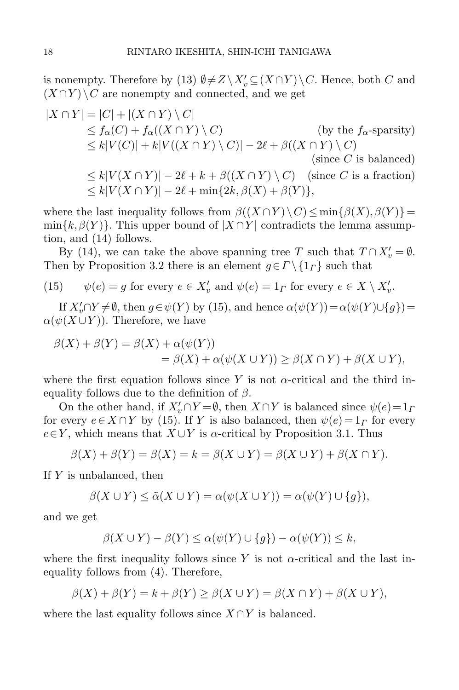is nonempty. Therefore by [\(13\)](#page-16-3)  $\emptyset \neq Z \setminus X'_v \subseteq (X \cap Y) \setminus C$ . Hence, both C and  $(X \cap Y) \setminus C$  are nonempty and connected, and we get

$$
|X \cap Y| = |C| + |(X \cap Y) \setminus C|
$$
  
\n
$$
\leq f_{\alpha}(C) + f_{\alpha}((X \cap Y) \setminus C)
$$
 (by the  $f_{\alpha}$ -sparsity)  
\n
$$
\leq k|V(C)| + k|V((X \cap Y) \setminus C)| - 2\ell + \beta((X \cap Y) \setminus C)
$$
  
\n(since *C* is balanced)  
\n
$$
\leq k|V(X \cap Y)| - 2\ell + k + \beta((X \cap Y) \setminus C)
$$
 (since *C* is a fraction)  
\n
$$
\leq k|V(X \cap Y)| - 2\ell + \min\{2k, \beta(X) + \beta(Y)\},
$$

where the last inequality follows from  $\beta((X \cap Y) \setminus C) \leq \min\{\beta(X), \beta(Y)\}$ =  $\min\{k,\beta(Y)\}\.$  This upper bound of  $|X \cap Y|$  contradicts the lemma assumption, and [\(14\)](#page-16-4) follows.

By [\(14\)](#page-16-4), we can take the above spanning tree T such that  $T \cap X'_v = \emptyset$ . Then by Proposition [3.2](#page-10-0) there is an element  $g \in \Gamma \setminus \{1_\Gamma\}$  such that

<span id="page-17-0"></span>(15) 
$$
\psi(e) = g
$$
 for every  $e \in X'_v$  and  $\psi(e) = 1_\Gamma$  for every  $e \in X \setminus X'_v$ .

If  $X'_v \cap Y \neq \emptyset$ , then  $g \in \psi(Y)$  by [\(15\)](#page-17-0), and hence  $\alpha(\psi(Y)) = \alpha(\psi(Y) \cup \{g\}) =$  $\alpha(\psi(X \cup Y))$ . Therefore, we have

$$
\beta(X) + \beta(Y) = \beta(X) + \alpha(\psi(Y))
$$
  
=  $\beta(X) + \alpha(\psi(X \cup Y)) \ge \beta(X \cap Y) + \beta(X \cup Y),$ 

where the first equation follows since Y is not  $\alpha$ -critical and the third inequality follows due to the definition of  $\beta$ .

On the other hand, if  $X'_v \cap Y = \emptyset$ , then  $X \cap Y$  is balanced since  $\psi(e) = 1_I$ for every  $e \in X \cap Y$  by [\(15\)](#page-17-0). If Y is also balanced, then  $\psi(e) = 1$ <sub>*Γ*</sub> for every  $e \in Y$ , which means that  $X \cup Y$  is  $\alpha$ -critical by Proposition [3.1.](#page-9-0) Thus

$$
\beta(X) + \beta(Y) = \beta(X) = k = \beta(X \cup Y) = \beta(X \cup Y) + \beta(X \cap Y).
$$

If Y is unbalanced, then

$$
\beta(X \cup Y) \le \tilde{\alpha}(X \cup Y) = \alpha(\psi(X \cup Y)) = \alpha(\psi(Y) \cup \{g\}),
$$

and we get

$$
\beta(X \cup Y) - \beta(Y) \le \alpha(\psi(Y) \cup \{g\}) - \alpha(\psi(Y)) \le k,
$$

where the first inequality follows since Y is not  $\alpha$ -critical and the last inequality follows from [\(4\)](#page-11-2). Therefore,

$$
\beta(X) + \beta(Y) = k + \beta(Y) \ge \beta(X \cup Y) = \beta(X \cap Y) + \beta(X \cup Y),
$$

where the last equality follows since  $X \cap Y$  is balanced.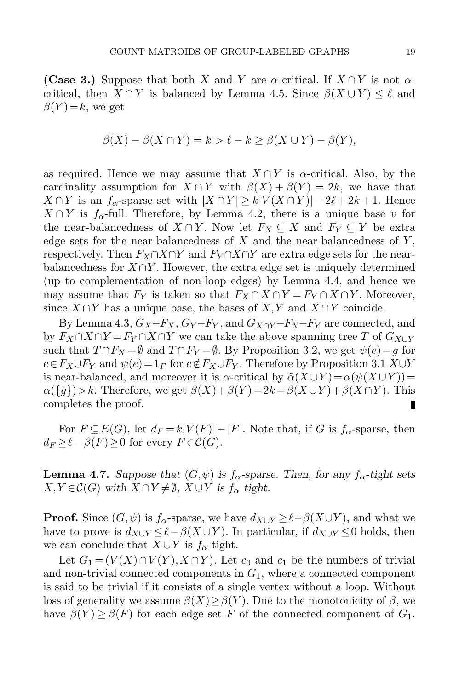(Case 3.) Suppose that both X and Y are  $\alpha$ -critical. If  $X \cap Y$  is not  $\alpha$ critical, then  $X \cap Y$  is balanced by Lemma [4.5.](#page-15-1) Since  $\beta(X \cup Y) \leq \ell$  and  $\beta(Y)=k$ , we get

$$
\beta(X) - \beta(X \cap Y) = k > \ell - k \ge \beta(X \cup Y) - \beta(Y),
$$

as required. Hence we may assume that  $X \cap Y$  is  $\alpha$ -critical. Also, by the cardinality assumption for  $X \cap Y$  with  $\beta(X) + \beta(Y) = 2k$ , we have that  $X \cap Y$  is an  $f_{\alpha}$ -sparse set with  $|X \cap Y| \ge k |V(X \cap Y)| - 2\ell + 2k + 1$ . Hence  $X \cap Y$  is  $f_{\alpha}$ -full. Therefore, by Lemma [4.2,](#page-12-1) there is a unique base v for the near-balancedness of  $X \cap Y$ . Now let  $F_X \subseteq X$  and  $F_Y \subseteq Y$  be extra edge sets for the near-balancedness of  $X$  and the near-balancedness of  $Y$ , respectively. Then  $F_X \cap X \cap Y$  and  $F_Y \cap X \cap Y$  are extra edge sets for the nearbalancedness for  $X \cap Y$ . However, the extra edge set is uniquely determined (up to complementation of non-loop edges) by Lemma [4.4,](#page-14-1) and hence we may assume that  $F_Y$  is taken so that  $F_X \cap X \cap Y = F_Y \cap X \cap Y$ . Moreover, since  $X \cap Y$  has a unique base, the bases of  $X, Y$  and  $X \cap Y$  coincide.

By Lemma [4.3,](#page-14-0)  $G_X-F_X$ ,  $G_Y-F_Y$ , and  $G_{X\cap Y}F_X-F_Y$  are connected, and by  $F_X \cap X \cap Y = F_Y \cap X \cap Y$  we can take the above spanning tree T of  $G_{X \cup Y}$ such that  $T \cap F_X = \emptyset$  and  $T \cap F_Y = \emptyset$ . By Proposition [3.2,](#page-10-0) we get  $\psi(e) = g$  for  $e \in F_X \cup F_Y$  and  $\psi(e) = 1_\Gamma$  for  $e \notin F_X \cup F_Y$ . Therefore by Proposition [3.1](#page-9-0) X∪Y is near-balanced, and moreover it is  $\alpha$ -critical by  $\tilde{\alpha}(X \cup Y) = \alpha(\psi(X \cup Y))$ =  $\alpha({g})>k$ . Therefore, we get  $\beta(X)+\beta(Y)=2k=\beta(X\cup Y)+\beta(X\cap Y)$ . This completes the proof. completes the proof.

For  $F \subseteq E(G)$ , let  $d_F = k|V(F)| - |F|$ . Note that, if G is  $f_{\alpha}$ -sparse, then  $d_F \geq \ell - \beta(F) \geq 0$  for every  $F \in \mathcal{C}(G)$ .

<span id="page-18-0"></span>**Lemma 4.7.** Suppose that  $(G, \psi)$  is  $f_{\alpha}$ -sparse. Then, for any  $f_{\alpha}$ -tight sets  $X, Y \in \mathcal{C}(G)$  with  $X \cap Y \neq \emptyset$ ,  $X \cup Y$  is  $f_{\alpha}$ -tight.

**Proof.** Since  $(G, \psi)$  is  $f_{\alpha}$ -sparse, we have  $d_{X\cup Y} \geq \ell - \beta(X\cup Y)$ , and what we have to prove is  $d_{X\cup Y} \leq \ell - \beta(X \cup Y)$ . In particular, if  $d_{X\cup Y} \leq 0$  holds, then we can conclude that  $X \cup Y$  is  $f_{\alpha}$ -tight.

Let  $G_1 = (V(X) \cap V(Y), X \cap Y)$ . Let  $c_0$  and  $c_1$  be the numbers of trivial and non-trivial connected components in  $G_1$ , where a connected component is said to be trivial if it consists of a single vertex without a loop. Without loss of generality we assume  $\beta(X) \geq \beta(Y)$ . Due to the monotonicity of  $\beta$ , we have  $\beta(Y) \geq \beta(F)$  for each edge set F of the connected component of  $G_1$ .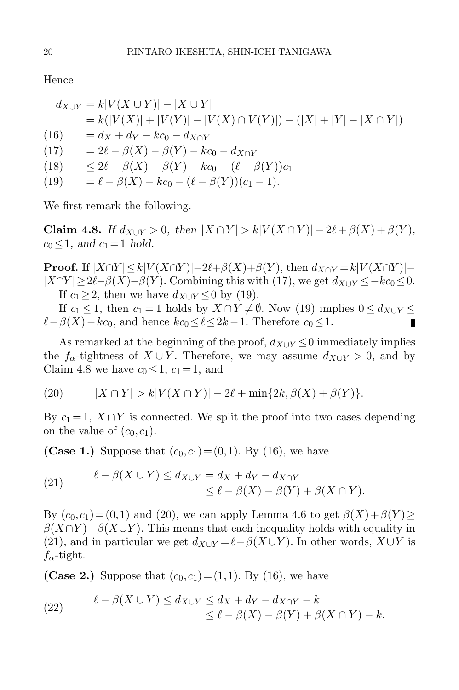Hence

<span id="page-19-3"></span><span id="page-19-0"></span>
$$
d_{X \cup Y} = k|V(X \cup Y)| - |X \cup Y|
$$
  
=  $k(|V(X)| + |V(Y)| - |V(X) \cap V(Y)|) - (|X| + |Y| - |X \cap Y|)$   
(16) =  $d_X + d_Y - kc_0 - d_{X \cap Y}$   
(17) =  $2\ell - \beta(X) - \beta(Y) - kc_0 - d_{X \cap Y}$   
(18)  $\leq 2\ell - \beta(X) - \beta(Y) - kc_0 - (\ell - \beta(Y))c_1$   
(19) =  $\ell - \beta(X) - kc_0 - (\ell - \beta(Y))(c_1 - 1)$ .

<span id="page-19-1"></span>We first remark the following.

<span id="page-19-2"></span>Claim 4.8. If  $d_{X\cup Y} > 0$ , then  $|X \cap Y| > k|V(X \cap Y)| - 2\ell + \beta(X) + \beta(Y)$ ,  $c_0 \leq 1$ , and  $c_1 = 1$  hold.

**Proof.** If  $|X \cap Y| \le k|V(X \cap Y)|-2\ell+\beta(X)+\beta(Y)$ , then  $d_{X \cap Y} =k|V(X \cap Y)| |X \cap Y| \geq 2\ell - \beta(X) - \beta(Y)$ . Combining this with [\(17\)](#page-19-0), we get  $d_{X\cup Y} \leq -k c_0 \leq 0$ . If  $c_1 > 2$ , then we have  $d_{X\cup Y} \leq 0$  by [\(19\)](#page-19-1).

If  $c_1 \leq 1$ , then  $c_1 = 1$  holds by  $X \cap Y \neq \emptyset$ . Now [\(19\)](#page-19-1) implies  $0 \leq d_{X \cup Y} \leq$  $\ell-\beta(X)-kc_0$ , and hence  $kc_0 \leq \ell \leq 2k-1$ . Therefore  $c_0 \leq 1$ .

As remarked at the beginning of the proof,  $d_{X\cup Y} \leq 0$  immediately implies the  $f_{\alpha}$ -tightness of  $X \cup Y$ . Therefore, we may assume  $d_{X \cup Y} > 0$ , and by Claim [4.8](#page-19-2) we have  $c_0 \leq 1$ ,  $c_1 = 1$ , and

<span id="page-19-4"></span>(20) 
$$
|X \cap Y| > k|V(X \cap Y)| - 2\ell + \min\{2k, \beta(X) + \beta(Y)\}.
$$

By  $c_1 = 1$ ,  $X \cap Y$  is connected. We split the proof into two cases depending on the value of  $(c_0, c_1)$ .

(Case 1.) Suppose that  $(c_0, c_1) = (0,1)$ . By [\(16\)](#page-19-3), we have

<span id="page-19-5"></span>(21) 
$$
\ell - \beta(X \cup Y) \le d_{X \cup Y} = d_X + d_Y - d_{X \cap Y} \le \ell - \beta(X) - \beta(Y) + \beta(X \cap Y).
$$

By  $(c_0, c_1) = (0,1)$  and [\(20\)](#page-19-4), we can apply Lemma [4.6](#page-16-0) to get  $\beta(X)+\beta(Y) \ge$  $\beta(X\cap Y)+\beta(X\cup Y)$ . This means that each inequality holds with equality in [\(21\)](#page-19-5), and in particular we get  $d_{X\cup Y} = \ell - \beta(X \cup Y)$ . In other words,  $X \cup Y$  is  $f_{\alpha}$ -tight.

**(Case 2.)** Suppose that  $(c_0, c_1) = (1,1)$ . By [\(16\)](#page-19-3), we have

(22) 
$$
\ell - \beta(X \cup Y) \le d_{X \cup Y} \le d_X + d_Y - d_{X \cap Y} - k
$$

$$
\le \ell - \beta(X) - \beta(Y) + \beta(X \cap Y) - k.
$$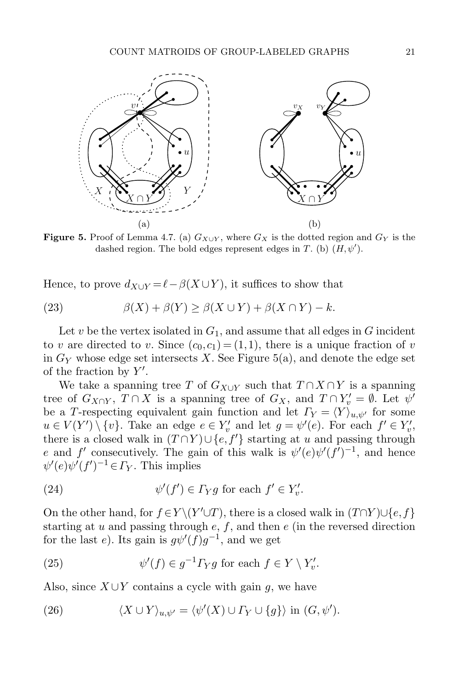

<span id="page-20-0"></span>**Figure 5.** Proof of Lemma [4.7.](#page-18-0) (a)  $G_{X\cup Y}$ , where  $G_X$  is the dotted region and  $G_Y$  is the dashed region. The bold edges represent edges in T. (b)  $(H, \psi')$ .

Hence, to prove  $d_{X\cup Y} = \ell - \beta(X \cup Y)$ , it suffices to show that

<span id="page-20-1"></span>(23) 
$$
\beta(X) + \beta(Y) \ge \beta(X \cup Y) + \beta(X \cap Y) - k.
$$

Let  $v$  be the vertex isolated in  $G_1$ , and assume that all edges in  $G$  incident to v are directed to v. Since  $(c_0, c_1) = (1, 1)$ , there is a unique fraction of v in  $G_Y$  whose edge set intersects X. See Figure [5\(](#page-20-0)a), and denote the edge set of the fraction by  $Y'$ .

We take a spanning tree T of  $G_{X\cup Y}$  such that  $T \cap X \cap Y$  is a spanning tree of  $G_{X\cap Y}$ ,  $T\cap X$  is a spanning tree of  $G_X$ , and  $T\cap Y'_{\mathcal{U}}=\emptyset$ . Let  $\psi'$ be a T-respecting equivalent gain function and let  $\Gamma_Y = \langle Y \rangle_{u,\psi'}$  for some  $u \in V(Y') \setminus \{v\}$ . Take an edge  $e \in Y'_v$  and let  $g = \psi'(e)$ . For each  $f' \in Y'_v$ , there is a closed walk in  $(T \cap Y) \cup \{e, f'\}$  starting at u and passing through e and f' consecutively. The gain of this walk is  $\psi'(e)\psi'(f')^{-1}$ , and hence  $\psi'(e)\psi'(f')^{-1} \in \Gamma_Y$ . This implies

<span id="page-20-2"></span>(24) 
$$
\psi'(f') \in \Gamma_Y g \text{ for each } f' \in Y'_v.
$$

On the other hand, for  $f \in Y \setminus (Y' \cup T)$ , there is a closed walk in  $(T \cap Y) \cup \{e, f\}$ starting at  $u$  and passing through  $e, f$ , and then  $e$  (in the reversed direction for the last e). Its gain is  $g\psi'(f)g^{-1}$ , and we get

<span id="page-20-3"></span>(25) 
$$
\psi'(f) \in g^{-1} \Gamma_Y g \text{ for each } f \in Y \setminus Y'_v.
$$

Also, since  $X \cup Y$  contains a cycle with gain g, we have

<span id="page-20-4"></span>(26) 
$$
\langle X \cup Y \rangle_{u,\psi'} = \langle \psi'(X) \cup \Gamma_Y \cup \{g\} \rangle \text{ in } (G,\psi').
$$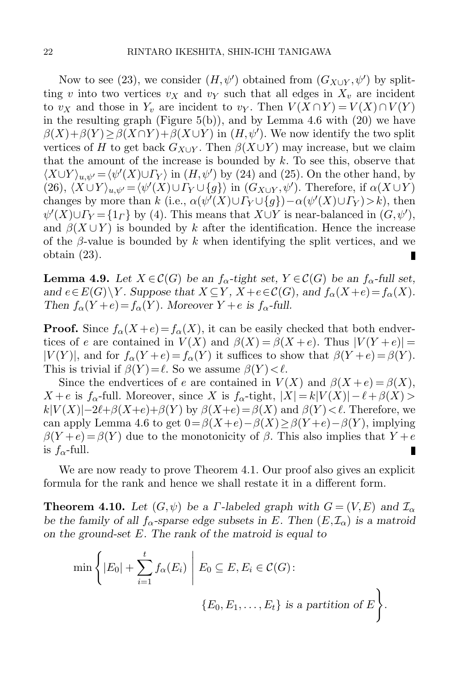Now to see [\(23\)](#page-20-1), we consider  $(H, \psi')$  obtained from  $(G_{X\cup Y}, \psi')$  by splitting v into two vertices  $v_X$  and  $v_Y$  such that all edges in  $X_v$  are incident to  $v_X$  and those in  $Y_v$  are incident to  $v_Y$ . Then  $V(X \cap Y) = V(X) \cap V(Y)$ in the resulting graph (Figure [5\(](#page-20-0)b)), and by Lemma [4.6](#page-16-0) with  $(20)$  we have  $\beta(X)+\beta(Y)\geq \beta(X\cap Y)+\beta(X\cup Y)$  in  $(H,\psi')$ . We now identify the two split vertices of H to get back  $G_{X\cup Y}$ . Then  $\beta(X\cup Y)$  may increase, but we claim that the amount of the increase is bounded by  $k$ . To see this, observe that  $\langle X \cup Y \rangle_{u,\psi'} = \langle \psi'(X) \cup \Gamma_Y \rangle$  in  $(H, \psi')$  by [\(24\)](#page-20-2) and [\(25\)](#page-20-3). On the other hand, by [\(26\)](#page-20-4),  $\langle X \cup Y \rangle_{u,\psi'} = \langle \psi'(X) \cup \Gamma_Y \cup \{g\} \rangle$  in  $(G_{X\cup Y}, \psi')$ . Therefore, if  $\alpha(X \cup Y)$ changes by more than k (i.e.,  $\alpha(\psi'(X) \cup \Gamma_Y \cup \{g\}) - \alpha(\psi'(X) \cup \Gamma_Y) > k$ ), then  $\psi'(X) \cup \Gamma_Y = \{1_\Gamma\}$  by [\(4\)](#page-11-2). This means that  $X \cup Y$  is near-balanced in  $(G, \psi')$ , and  $\beta(X \cup Y)$  is bounded by k after the identification. Hence the increase of the  $\beta$ -value is bounded by k when identifying the split vertices, and we obtain [\(23\)](#page-20-1). П

<span id="page-21-0"></span>**Lemma 4.9.** Let  $X \in \mathcal{C}(G)$  be an  $f_{\alpha}$ -tight set,  $Y \in \mathcal{C}(G)$  be an  $f_{\alpha}$ -full set, and  $e \in E(G) \backslash Y$ . Suppose that  $X \subseteq Y$ ,  $X + e \in C(G)$ , and  $f_{\alpha}(X + e) = f_{\alpha}(X)$ . Then  $f_{\alpha}(Y+e) = f_{\alpha}(Y)$ . Moreover  $Y + e$  is  $f_{\alpha}$ -full.

**Proof.** Since  $f_{\alpha}(X+e) = f_{\alpha}(X)$ , it can be easily checked that both endvertices of e are contained in  $V(X)$  and  $\beta(X) = \beta(X + e)$ . Thus  $|V(Y + e)| =$  $|V(Y)|$ , and for  $f_{\alpha}(Y+e) = f_{\alpha}(Y)$  it suffices to show that  $\beta(Y+e) = \beta(Y)$ . This is trivial if  $\beta(Y) = \ell$ . So we assume  $\beta(Y) < \ell$ .

Since the endvertices of e are contained in  $V(X)$  and  $\beta(X + e) = \beta(X)$ ,  $X + e$  is  $f_{\alpha}$ -full. Moreover, since X is  $f_{\alpha}$ -tight,  $|X| = k|V(X)| - \ell + \beta(X) >$  $k|V(X)|-2\ell+\beta(X+e)+\beta(Y)$  by  $\beta(X+e)=\beta(X)$  and  $\beta(Y)<\ell$ . Therefore, we can apply Lemma [4.6](#page-16-0) to get  $0 = \beta(X+e) - \beta(X) \geq \beta(Y+e) - \beta(Y)$ , implying  $\beta(Y+e) = \beta(Y)$  due to the monotonicity of  $\beta$ . This also implies that  $Y+e$ is  $f_{\alpha}$ -full.

We are now ready to prove Theorem [4.1.](#page-11-4) Our proof also gives an explicit formula for the rank and hence we shall restate it in a different form.

**Theorem 4.10.** Let  $(G, \psi)$  be a *Γ*-labeled graph with  $G = (V, E)$  and  $\mathcal{I}_{\alpha}$ be the family of all  $f_{\alpha}$ -sparse edge subsets in E. Then  $(E,\mathcal{I}_{\alpha})$  is a matroid on the ground-set E. The rank of the matroid is equal to

$$
\min\left\{|E_0| + \sum_{i=1}^t f_\alpha(E_i) \mid E_0 \subseteq E, E_i \in C(G) : \right\}
$$
  

$$
\{E_0, E_1, \dots, E_t\} \text{ is a partition of } E\right\}.
$$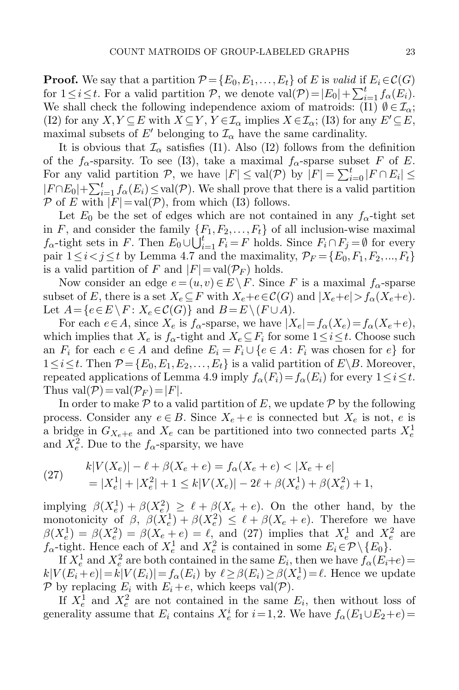**Proof.** We say that a partition  $\mathcal{P} = \{E_0, E_1, \ldots, E_t\}$  of E is valid if  $E_i \in \mathcal{C}(G)$ for  $1 \leq i \leq t$ . For a valid partition  $P$ , we denote  $val(P) = |E_0| + \sum_{i=1}^t f_\alpha(E_i)$ . We shall check the following independence axiom of matroids: (I1)  $\emptyset \in \mathcal{I}_{\alpha}$ ; (I2) for any  $X, Y \subseteq E$  with  $X \subseteq Y, Y \in \mathcal{I}_{\alpha}$  implies  $X \in \mathcal{I}_{\alpha}$ ; (I3) for any  $E' \subseteq E$ , maximal subsets of E' belonging to  $\mathcal{I}_{\alpha}$  have the same cardinality.

It is obvious that  $\mathcal{I}_{\alpha}$  satisfies (I1). Also (I2) follows from the definition of the  $f_{\alpha}$ -sparsity. To see (I3), take a maximal  $f_{\alpha}$ -sparse subset F of E. For any valid partition P, we have  $|F| \leq \text{val}(\mathcal{P})$  by  $|F| = \sum_{i=0}^{t} |F \cap E_i| \leq$  $|F \cap E_0| + \sum_{i=1}^t f_\alpha(E_i) \leq \text{val}(\mathcal{P})$ . We shall prove that there is a valid partition  $P$  of E with  $|F| = \text{val}(P)$ , from which (I3) follows.

Let  $E_0$  be the set of edges which are not contained in any  $f_\alpha$ -tight set in F, and consider the family  $\{F_1, F_2, \ldots, F_t\}$  of all inclusion-wise maximal  $f_{\alpha}$ -tight sets in F. Then  $E_0 \cup \bigcup_{i=1}^t F_i = F$  holds. Since  $F_i \cap F_j = \emptyset$  for every pair  $1 \leq i < j \leq t$  by Lemma [4.7](#page-18-0) and the maximality,  $\mathcal{P}_F = \{E_0, F_1, F_2, ..., F_t\}$ is a valid partition of F and  $|F| = val(\mathcal{P}_F)$  holds.

Now consider an edge  $e = (u,v) \in E \setminus F$ . Since F is a maximal  $f_{\alpha}$ -sparse subset of E, there is a set  $X_e \subseteq F$  with  $X_e + e \in \mathcal{C}(G)$  and  $|X_e + e| > f_\alpha(X_e + e)$ . Let  $A = \{e \in E \setminus F : X_e \in \mathcal{C}(G)\}\$ and  $B = E \setminus (F \cup A).$ 

For each  $e \in A$ , since  $X_e$  is  $f_\alpha$ -sparse, we have  $|X_e| = f_\alpha(X_e) = f_\alpha(X_e + e)$ , which implies that  $X_e$  is  $f_\alpha$ -tight and  $X_e \subseteq F_i$  for some  $1 \leq i \leq t$ . Choose such an  $F_i$  for each  $e \in A$  and define  $E_i = F_i \cup \{e \in A : F_i$  was chosen for  $e\}$  for  $1 \leq i \leq t$ . Then  $\mathcal{P} = \{E_0, E_1, E_2, \ldots, E_t\}$  is a valid partition of  $E \setminus B$ . Moreover, repeated applications of Lemma [4.9](#page-21-0) imply  $f_{\alpha}(F_i)=f_{\alpha}(E_i)$  for every  $1\leq i\leq t$ . Thus  $val(\mathcal{P})= val(\mathcal{P}_F)=|F|.$ 

In order to make  $P$  to a valid partition of E, we update  $P$  by the following process. Consider any  $e \in B$ . Since  $X_e + e$  is connected but  $X_e$  is not, e is a bridge in  $G_{X_e+e}$  and  $X_e$  can be partitioned into two connected parts  $X_e^1$ and  $X_e^2$ . Due to the  $f_{\alpha}$ -sparsity, we have

<span id="page-22-0"></span>(27) 
$$
k|V(X_e)| - \ell + \beta(X_e + e) = f_\alpha(X_e + e) < |X_e + e| \\
 = |X_e^1| + |X_e^2| + 1 \le k|V(X_e)| - 2\ell + \beta(X_e^1) + \beta(X_e^2) + 1,
$$

implying  $\beta(X_e^1) + \beta(X_e^2) \ge \ell + \beta(X_e + e)$ . On the other hand, by the monotonicity of  $\beta$ ,  $\beta(X_e^1) + \beta(X_e^2) \leq \ell + \beta(X_e + e)$ . Therefore we have  $\beta(X_e^1) = \beta(X_e^2) = \beta(X_e + e) = \ell$ , and [\(27\)](#page-22-0) implies that  $X_e^1$  and  $X_e^2$  are  $f_{\alpha}$ -tight. Hence each of  $X_e^1$  and  $X_e^2$  is contained in some  $E_i \in \mathcal{P} \setminus \{E_0\}$ .

If  $X_e^1$  and  $X_e^2$  are both contained in the same  $E_i$ , then we have  $f_\alpha(E_i+e)$  $k|V(E_i+e)| = k|V(E_i)| = f_\alpha(E_i)$  by  $\ell \ge \beta(E_i) \ge \beta(X_e^1) = \ell$ . Hence we update P by replacing  $E_i$  with  $E_i + e$ , which keeps val(P).

If  $X_e^1$  and  $X_e^2$  are not contained in the same  $E_i$ , then without loss of generality assume that  $E_i$  contains  $X_e^i$  for  $i = 1, 2$ . We have  $f_\alpha(E_1 \cup E_2 + e) =$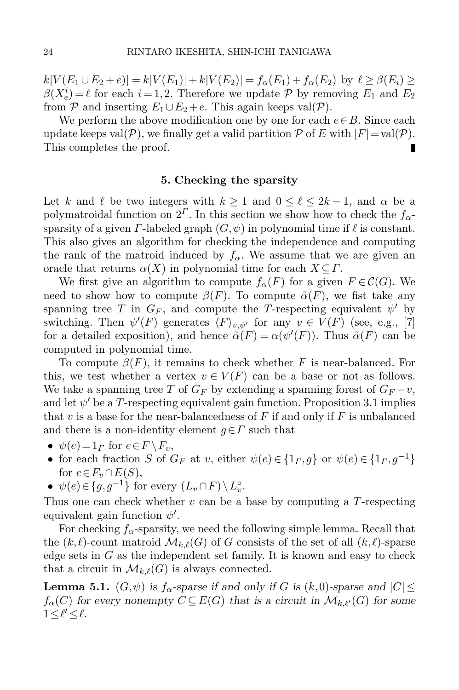$k|V(E_1 \cup E_2 + e)| = k|V(E_1)| + k|V(E_2)| = f_\alpha(E_1) + f_\alpha(E_2)$  by  $\ell \ge \beta(E_i) \ge$  $\beta(X_e^i) = \ell$  for each  $i = 1, 2$ . Therefore we update P by removing  $E_1$  and  $E_2$ from P and inserting  $E_1 \cup E_2 + e$ . This again keeps val(P).

We perform the above modification one by one for each  $e \in B$ . Since each update keeps val( $P$ ), we finally get a valid partition  $P$  of E with  $|F| = \text{val}(P)$ .<br>This completes the proof. This completes the proof.

### 5. Checking the sparsity

Let k and  $\ell$  be two integers with  $k \geq 1$  and  $0 \leq \ell \leq 2k - 1$ , and  $\alpha$  be a polymatroidal function on  $2^{\Gamma}$ . In this section we show how to check the  $f_{\alpha}$ sparsity of a given  $\Gamma$ -labeled graph  $(G, \psi)$  in polynomial time if  $\ell$  is constant. This also gives an algorithm for checking the independence and computing the rank of the matroid induced by  $f_{\alpha}$ . We assume that we are given an oracle that returns  $\alpha(X)$  in polynomial time for each  $X \subseteq \Gamma$ .

We first give an algorithm to compute  $f_{\alpha}(F)$  for a given  $F \in \mathcal{C}(G)$ . We need to show how to compute  $\beta(F)$ . To compute  $\tilde{\alpha}(F)$ , we fist take any spanning tree T in  $G_F$ , and compute the T-respecting equivalent  $\psi'$  by switching. Then  $\psi'(F)$  generates  $\langle F \rangle_{v,\psi'}$  for any  $v \in V(F)$  (see, e.g., [\[7\]](#page-25-10) for a detailed exposition), and hence  $\tilde{\alpha}(F) = \alpha(\psi'(F))$ . Thus  $\tilde{\alpha}(F)$  can be computed in polynomial time.

To compute  $\beta(F)$ , it remains to check whether F is near-balanced. For this, we test whether a vertex  $v \in V(F)$  can be a base or not as follows. We take a spanning tree T of  $G_F$  by extending a spanning forest of  $G_F - v$ , and let  $\psi'$  be a T-respecting equivalent gain function. Proposition [3.1](#page-9-0) implies that v is a base for the near-balancedness of  $F$  if and only if  $F$  is unbalanced and there is a non-identity element  $g \in \Gamma$  such that

- $\psi(e) = 1_\Gamma$  for  $e \in F \backslash F_v$ ,
- for each fraction S of  $G_F$  at v, either  $\psi(e) \in \{1_F, g\}$  or  $\psi(e) \in \{1_F, g^{-1}\}\$ for  $e \in F_v \cap E(S)$ ,
- $\psi(e) \in \{g, g^{-1}\}\$ for every  $(L_v \cap F) \setminus L_v^{\circ}$ .

Thus one can check whether  $v$  can be a base by computing a  $T$ -respecting equivalent gain function  $\psi'$ .

For checking  $f_{\alpha}$ -sparsity, we need the following simple lemma. Recall that the  $(k, \ell)$ -count matroid  $\mathcal{M}_{k,\ell}(G)$  of G consists of the set of all  $(k, \ell)$ -sparse edge sets in  $G$  as the independent set family. It is known and easy to check that a circuit in  $\mathcal{M}_{k,\ell}(G)$  is always connected.

<span id="page-23-0"></span>**Lemma 5.1.**  $(G, \psi)$  is  $f_{\alpha}$ -sparse if and only if G is  $(k,0)$ -sparse and  $|C| \leq$  $f_{\alpha}(C)$  for every nonempty  $C \subseteq E(G)$  that is a circuit in  $\mathcal{M}_{k,\ell'}(G)$  for some  $1 \leq \ell' \leq \ell$ .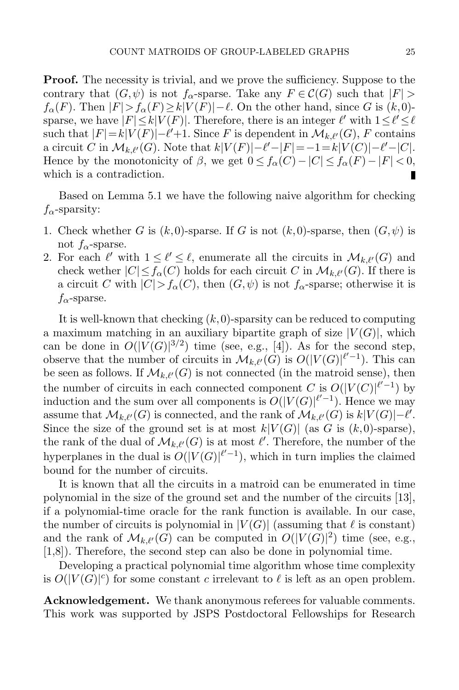**Proof.** The necessity is trivial, and we prove the sufficiency. Suppose to the contrary that  $(G, \psi)$  is not  $f_{\alpha}$ -sparse. Take any  $F \in \mathcal{C}(G)$  such that  $|F| >$  $f_{\alpha}(F)$ . Then  $|F| > f_{\alpha}(F) \ge k|V(F)| - \ell$ . On the other hand, since G is  $(k,0)$ sparse, we have  $|F| \le k |V(F)|$ . Therefore, there is an integer  $\ell'$  with  $1 \le \ell' \le \ell$ such that  $|F|=k|V(F)|-\ell'+1$ . Since F is dependent in  $\mathcal{M}_{k,\ell'}(G)$ , F contains a circuit C in  $\mathcal{M}_{k,\ell'}(G)$ . Note that  $k|V(F)|-\ell'-|F|=-1=k|V(C)|-\ell'-|C|$ . Hence by the monotonicity of  $\beta$ , we get  $0 \le f_\alpha(C) - |C| \le f_\alpha(F) - |F| < 0$ , which is a contradiction.

Based on Lemma [5.1](#page-23-0) we have the following naive algorithm for checking  $f_{\alpha}$ -sparsity:

- 1. Check whether G is  $(k,0)$ -sparse. If G is not  $(k,0)$ -sparse, then  $(G,\psi)$  is not  $f_{\alpha}$ -sparse.
- 2. For each  $\ell'$  with  $1 \leq \ell' \leq \ell$ , enumerate all the circuits in  $\mathcal{M}_{k,\ell'}(G)$  and check wether  $|C| \le f_\alpha(C)$  holds for each circuit C in  $\mathcal{M}_{k,\ell'}(G)$ . If there is a circuit C with  $|C| > f_\alpha(C)$ , then  $(G, \psi)$  is not  $f_\alpha$ -sparse; otherwise it is  $f_{\alpha}$ -sparse.

It is well-known that checking  $(k,0)$ -sparsity can be reduced to computing a maximum matching in an auxiliary bipartite graph of size  $|V(G)|$ , which can be done in  $O(|V(G)|^{3/2})$  time (see, e.g., [\[4\]](#page-25-4)). As for the second step, observe that the number of circuits in  $\mathcal{M}_{k,\ell'}(G)$  is  $O(|V(G)|^{\ell'-1})$ . This can be seen as follows. If  $\mathcal{M}_{k,\ell'}(G)$  is not connected (in the matroid sense), then the number of circuits in each connected component C is  $O(|V(C)|^{\ell'-1})$  by induction and the sum over all components is  $O(|V(G)|^{\ell'-1})$ . Hence we may assume that  $\mathcal{M}_{k,\ell'}(G)$  is connected, and the rank of  $\mathcal{M}_{k,\ell'}(G)$  is  $k|V(G)|-\ell'.$ Since the size of the ground set is at most  $k|V(G)|$  (as G is  $(k,0)$ -sparse), the rank of the dual of  $\mathcal{M}_{k,\ell'}(G)$  is at most  $\ell'$ . Therefore, the number of the hyperplanes in the dual is  $O(|V(G)|^{l'-1})$ , which in turn implies the claimed bound for the number of circuits.

It is known that all the circuits in a matroid can be enumerated in time polynomial in the size of the ground set and the number of the circuits [\[13\]](#page-25-16), if a polynomial-time oracle for the rank function is available. In our case, the number of circuits is polynomial in  $|V(G)|$  (assuming that  $\ell$  is constant) and the rank of  $\mathcal{M}_{k,\ell'}(G)$  can be computed in  $O(|V(G)|^2)$  time (see, e.g., [\[1](#page-25-17)[,8\]](#page-25-18)). Therefore, the second step can also be done in polynomial time.

Developing a practical polynomial time algorithm whose time complexity is  $O(|V(G)|^c)$  for some constant c irrelevant to  $\ell$  is left as an open problem.

Acknowledgement. We thank anonymous referees for valuable comments. This work was supported by JSPS Postdoctoral Fellowships for Research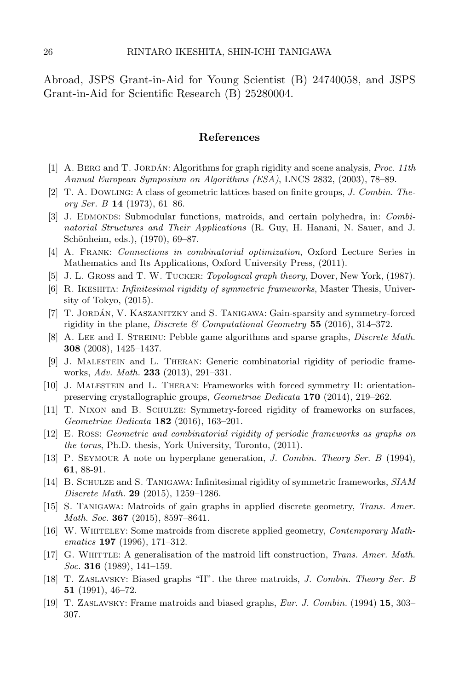Abroad, JSPS Grant-in-Aid for Young Scientist (B) 24740058, and JSPS Grant-in-Aid for Scientific Research (B) 25280004.

## References

- <span id="page-25-17"></span>[1] A. BERG and T. JORDÁN: Algorithms for graph rigidity and scene analysis, *Proc. 11th* Annual European Symposium on Algorithms (ESA), LNCS 2832, (2003), 78–89.
- <span id="page-25-0"></span>[2] T. A. Dowling: A class of geometric lattices based on finite groups, J. Combin. Theory Ser. B  $14$  (1973), 61–86.
- <span id="page-25-15"></span>[3] J. EDMONDS: Submodular functions, matroids, and certain polyhedra, in: Combinatorial Structures and Their Applications (R. Guy, H. Hanani, N. Sauer, and J. Schönheim, eds.), (1970), 69–87.
- <span id="page-25-4"></span>[4] A. Frank: Connections in combinatorial optimization, Oxford Lecture Series in Mathematics and Its Applications, Oxford University Press, (2011).
- <span id="page-25-14"></span>[5] J. L. GROSS and T. W. TUCKER: *Topological graph theory*, Dover, New York, (1987).
- <span id="page-25-13"></span>[6] R. Ikeshita: Infinitesimal rigidity of symmetric frameworks, Master Thesis, University of Tokyo, (2015).
- <span id="page-25-10"></span>[7] T. JORDÁN, V. KASZANITZKY and S. TANIGAWA: Gain-sparsity and symmetry-forced rigidity in the plane, *Discrete* & *Computational Geometry* 55 (2016), 314–372.
- <span id="page-25-18"></span>[8] A. Lee and I. Streinu: Pebble game algorithms and sparse graphs, Discrete Math. 308 (2008), 1425–1437.
- <span id="page-25-6"></span>[9] J. Malestein and L. Theran: Generic combinatorial rigidity of periodic frameworks, Adv. Math. 233 (2013), 291–331.
- <span id="page-25-7"></span>[10] J. Malestein and L. Theran: Frameworks with forced symmetry II: orientationpreserving crystallographic groups, Geometriae Dedicata 170 (2014), 219–262.
- <span id="page-25-11"></span>[11] T. Nixon and B. Schulze: Symmetry-forced rigidity of frameworks on surfaces, Geometriae Dedicata 182 (2016), 163–201.
- <span id="page-25-8"></span>[12] E. Ross: Geometric and combinatorial rigidity of periodic frameworks as graphs on the torus, Ph.D. thesis, York University, Toronto, (2011).
- <span id="page-25-16"></span>[13] P. Seymour A note on hyperplane generation, J. Combin. Theory Ser. B (1994), 61, 88-91.
- <span id="page-25-12"></span>[14] B. Schulze and S. Tanigawa: Infinitesimal rigidity of symmetric frameworks, SIAM Discrete Math. 29 (2015), 1259–1286.
- <span id="page-25-9"></span>[15] S. Tanigawa: Matroids of gain graphs in applied discrete geometry, Trans. Amer. Math. Soc. **367** (2015), 8597-8641.
- <span id="page-25-5"></span>[16] W. WHITELEY: Some matroids from discrete applied geometry, *Contemporary Math*ematics  $197$  (1996), 171–312.
- <span id="page-25-3"></span>[17] G. WHITTLE: A generalisation of the matroid lift construction, *Trans. Amer. Math. Soc.* **316** (1989), 141–159.
- <span id="page-25-1"></span>[18] T. Zaslavsky: Biased graphs "II". the three matroids, J. Combin. Theory Ser. B 51 (1991), 46–72.
- <span id="page-25-2"></span>[19] T. Zaslavsky: Frame matroids and biased graphs, Eur. J. Combin. (1994) 15, 303– 307.